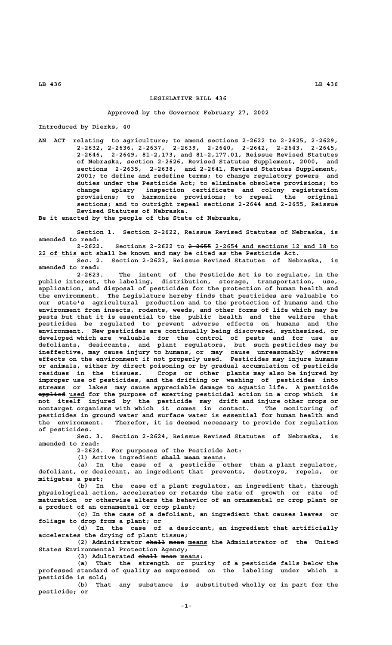## **LEGISLATIVE BILL 436**

## **Approved by the Governor February 27, 2002**

**Introduced by Dierks, 40**

**AN ACT relating to agriculture; to amend sections 2-2622 to 2-2625, 2-2629, 2-2632, 2-2636, 2-2637, 2-2639, 2-2640, 2-2642, 2-2643, 2-2645, 2-2646, 2-2649, 81-2,173, and 81-2,177.01, Reissue Revised Statutes of Nebraska, section 2-2626, Revised Statutes Supplement, 2000, and sections 2-2635, 2-2638, and 2-2641, Revised Statutes Supplement, 2001; to define and redefine terms; to change regulatory powers and duties under the Pesticide Act; to eliminate obsolete provisions; to change apiary inspection certificate and colony registration provisions; to harmonize provisions; to repeal the original sections; and to outright repeal sections 2-2644 and 2-2655, Reissue Revised Statutes of Nebraska.**

**Be it enacted by the people of the State of Nebraska,**

**Section 1. Section 2-2622, Reissue Revised Statutes of Nebraska, is amended to read:**

 **—————— \_\_\_\_\_\_\_\_\_\_\_\_\_\_\_\_\_\_\_\_\_\_\_\_\_\_\_\_\_\_\_\_ 2-2622. Sections 2-2622 to 2-2655 2-2654 and sections 12 and 18 to \_\_\_\_\_\_\_\_\_\_\_\_\_\_ 22 of this act shall be known and may be cited as the Pesticide Act.**

**Sec. 2. Section 2-2623, Reissue Revised Statutes of Nebraska, is amended to read:**

**2-2623. The intent of the Pesticide Act is to regulate, in the public interest, the labeling, distribution, storage, transportation, use, application, and disposal of pesticides for the protection of human health and the environment. The Legislature hereby finds that pesticides are valuable to our state's agricultural production and to the protection of humans and the environment from insects, rodents, weeds, and other forms of life which may be pests but that it is essential to the public health and the welfare that pesticides be regulated to prevent adverse effects on humans and the environment. New pesticides are continually being discovered, synthesized, or developed which are valuable for the control of pests and for use as defoliants, desiccants, and plant regulators, but such pesticides may be ineffective, may cause injury to humans, or may cause unreasonably adverse effects on the environment if not properly used. Pesticides may injure humans or animals, either by direct poisoning or by gradual accumulation of pesticide residues in the tissues. Crops or other plants may also be injured by improper use of pesticides, and the drifting or washing of pesticides into streams or lakes may cause appreciable damage to aquatic life. A pesticide ——————— \_\_\_\_ applied used for the purpose of exerting pesticidal action in a crop which is not itself injured by the pesticide may drift and injure other crops or nontarget organisms with which it comes in contact. The monitoring of pesticides in ground water and surface water is essential for human health and the environment. Therefor, it is deemed necessary to provide for regulation of pesticides.**

**Sec. 3. Section 2-2624, Reissue Revised Statutes of Nebraska, is amended to read:**

**2-2624. For purposes of the Pesticide Act:**

(1) Active ingredient shall mean means:

**(a) In the case of a pesticide other than a plant regulator, defoliant, or desiccant, an ingredient that prevents, destroys, repels, or mitigates a pest;**

**(b) In the case of a plant regulator, an ingredient that, through physiological action, accelerates or retards the rate of growth or rate of maturation or otherwise alters the behavior of an ornamental or crop plant or a product of an ornamental or crop plant;**

**(c) In the case of a defoliant, an ingredient that causes leaves or foliage to drop from a plant; or**

**(d) In the case of a desiccant, an ingredient that artificially accelerates the drying of plant tissue;**

(2) Administrator shall mean means the Administrator of the United **States Environmental Protection Agency;**

(3) Adulterated  $\frac{1}{2}$  mean means:

**(a) That the strength or purity of a pesticide falls below the professed standard of quality as expressed on the labeling under which a pesticide is sold;**

**(b) That any substance is substituted wholly or in part for the pesticide; or**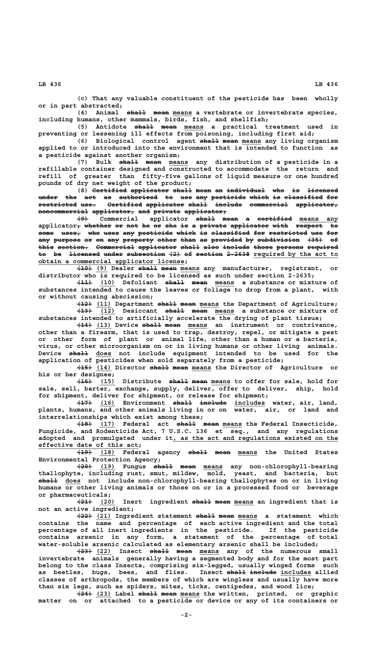**(c) That any valuable constituent of the pesticide has been wholly or in part abstracted;**

 **————— ———— \_\_\_\_\_ (4) Animal shall mean means a vertebrate or invertebrate species, including humans, other mammals, birds, fish, and shellfish;**

(5) Antidote <del>shall</del> mean means a practical treatment used in **preventing or lessening ill effects from poisoning, including first aid;**

(6) Biological control agent shall mean means any living organism **applied to or introduced into the environment that is intended to function as a pesticide against another organism;**

(7) Bulk <del>shall</del> mean means any distribution of a pesticide in a **refillable container designed and constructed to accommodate the return and refill of greater than fifty-five gallons of liquid measure or one hundred pounds of dry net weight of the product;**

**(8)** Certified applicator shall mean an individual who is licensed under the act as authorized to use any pesticide which is classified for **restricted use. Certified applicator shall include commercial applicator, —————————— ———— ————————— —————————— ————— ——————— —————————— ——————————**  $n$  oncommercial applicator, and private applicator,

**(9)** Commercial applicator shall mean a certified means any  ${\tt applicator}_{\bm{\tau}}$  whether or not he or she is a private applicator with respect to **some uses, who uses any pesticide which is classified for restricted use for ———— ————— ——— ———— ——— ————————— ————— —— —————————— ——— —————————— ——— ——** any purpose or on any property other than as provided by subdivision (35) of this section. Commercial applicator shall also include those persons required to be <del>licensed</del> under subsection  $\{2\}$  of section 2-2638 required by the act to  **\_\_\_\_\_\_\_\_\_\_\_\_\_\_\_\_\_\_\_\_\_\_\_\_\_\_\_\_\_\_\_\_\_\_\_\_\_\_ obtain a commercial applicator license;**

**(10)** Dealer shall mean means any manufacturer, registrant, or **distributor who is required to be licensed as such under section 2-2635;**

**(11)** Defoliant shall mean means a substance or mixture of **substances intended to cause the leaves or foliage to drop from a plant, with or without causing abscission;**

**(12)** (11) Department shall mean means the Department of Agriculture; **(13)** Oesiccant shall mean means a substance or mixture of **substances intended to artificially accelerate the drying of plant tissue;**

 $\overline{(14)}$   $\overline{(13)}$  Device shall mean means an instrument or contrivance, **other than a firearm, that is used to trap, destroy, repel, or mitigate a pest or other form of plant or animal life, other than a human or a bacteria, virus, or other microorganism on or in living humans or other living animals. ————— \_\_\_\_ Device shall does not include equipment intended to be used for the application of pesticides when sold separately from a pesticide;**

**(15)** (14) Director shall mean means the Director of Agriculture or **his or her designee;**

 $(15)$  Distribute shall mean means to offer for sale, hold for **sale, sell, barter, exchange, supply, deliver, offer to deliver, ship, hold for shipment, deliver for shipment, or release for shipment;**

<del>(17)</del> (16) Environment <del>shall include</del> includes water, air, land, **plants, humans, and other animals living in or on water, air, or land and interrelationships which exist among these;**

 **———— \_\_\_\_ ————— ———— \_\_\_\_\_ (18) (17) Federal act shall mean means the Federal Insecticide, Fungicide, and Rodenticide Act, 7 U.S.C. 136 et seq., and any regulations \_\_\_\_\_\_\_\_\_\_\_\_\_\_\_\_\_\_\_\_\_\_\_\_\_\_\_\_\_\_\_\_\_\_\_\_\_\_\_\_\_\_\_ adopted and promulgated under it, as the act and regulations existed on the \_\_\_\_\_\_\_\_\_\_\_\_\_\_\_\_\_\_\_\_\_\_\_\_\_\_ effective date of this act;**

 $\overline{19}$  (18) Federal agency shall mean means the United States **Environmental Protection Agency;**

**(20)** (19) Fungus <del>shall</del> mean means any non-chlorophyll-bearing **thallophyte, including rust, smut, mildew, mold, yeast, and bacteria, but ————— \_\_\_\_ shall does not include non-chlorophyll-bearing thallophytes on or in living humans or other living animals or those on or in a processed food or beverage or pharmaceuticals;**

**(21) (20) Inert ingredient shall mean means an ingredient that is ———— \_\_\_\_ ————— ———— \_\_\_\_\_ not an active ingredient;**

**(22) (21) Ingredient statement shall mean means a statement which ———— \_\_\_\_ ————— ———— \_\_\_\_\_ contains the name and percentage of each active ingredient and the total percentage of all inert ingredients in the pesticide. If the pesticide contains arsenic in any form, a statement of the percentage of total water-soluble arsenic calculated as elementary arsenic shall be included;**

 $\frac{(22)}{23}$  Insect <del>shall</del> mean means any of the numerous small **invertebrate animals generally having a segmented body and for the most part belong to the class Insecta, comprising six-legged, usually winged forms such** as beetles, bugs, bees, and flies. Insect shall includes allied **classes of arthropods, the members of which are wingless and usually have more than six legs, such as spiders, mites, ticks, centipedes, and wood lice;**

**(24)** (23) Label <del>shall</del> mean means the written, printed, or graphic **matter on or attached to a pesticide or device or any of its containers or**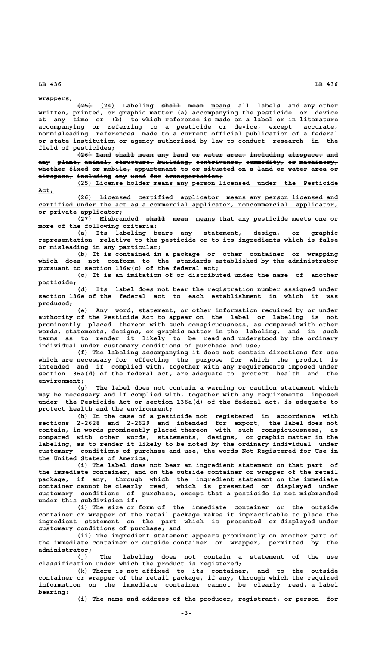**wrappers;**

 $\overline{25}$  (24) Labeling <del>shall</del> means all labels and any other **written, printed, or graphic matter (a) accompanying the pesticide or device at any time or (b) to which reference is made on a label or in literature accompanying or referring to a pesticide or device, except accurate, nonmisleading references made to a current official publication of a federal or state institution or agency authorized by law to conduct research in the field of pesticides;**

**(26) Land shall mean any land or water area, including airspace, and ———— ———— ————— ———— ——— ———— —— ————— ————— ————————— ————————— ——** any plant, animal, structure, building, contrivance, commodity, or machinery, whether fixed or mobile, appurtenant to or situated on a land or water area or  $\overline{a}\overline{a}$  **including any used for transportation**;

 **\_\_\_\_\_\_\_\_\_\_\_\_\_\_\_\_\_\_\_\_\_\_\_\_\_\_\_\_\_\_\_\_\_\_\_\_\_\_\_\_\_\_\_\_\_\_\_\_\_\_\_\_\_\_\_\_\_\_\_\_\_\_\_\_\_\_\_\_ (25) License holder means any person licensed under the Pesticide Act;\_\_\_\_**

 **\_\_\_\_\_\_\_\_\_\_\_\_\_\_\_\_\_\_\_\_\_\_\_\_\_\_\_\_\_\_\_\_\_\_\_\_\_\_\_\_\_\_\_\_\_\_\_\_\_\_\_\_\_\_\_\_\_\_\_\_\_\_\_\_\_\_\_\_ (26) Licensed certified applicator means any person licensed and \_\_\_\_\_\_\_\_\_\_\_\_\_\_\_\_\_\_\_\_\_\_\_\_\_\_\_\_\_\_\_\_\_\_\_\_\_\_\_\_\_\_\_\_\_\_\_\_\_\_\_\_\_\_\_\_\_\_\_\_\_\_\_\_\_\_\_\_\_\_\_\_\_\_\_\_\_\_ certified under the act as a commercial applicator, noncommercial applicator, \_\_\_\_\_\_\_\_\_\_\_\_\_\_\_\_\_\_\_\_\_\_ or private applicator;**

**(27) Misbranded shall mean means that any pesticide meets one or more of the following criteria:**

**(a) Its labeling bears any statement, design, or graphic representation relative to the pesticide or to its ingredients which is false or misleading in any particular;**

**(b) It is contained in a package or other container or wrapping which does not conform to the standards established by the administrator pursuant to section 136w(c) of the federal act;**

**(c) It is an imitation of or distributed under the name of another pesticide;**

**(d) Its label does not bear the registration number assigned under section 136e of the federal act to each establishment in which it was produced;**

**(e) Any word, statement, or other information required by or under authority of the Pesticide Act to appear on the label or labeling is not prominently placed thereon with such conspicuousness, as compared with other words, statements, designs, or graphic matter in the labeling, and in such terms as to render it likely to be read and understood by the ordinary individual under customary conditions of purchase and use;**

**(f) The labeling accompanying it does not contain directions for use which are necessary for effecting the purpose for which the product is intended and if complied with, together with any requirements imposed under section 136a(d) of the federal act, are adequate to protect health and the environment;**

**(g) The label does not contain a warning or caution statement which may be necessary and if complied with, together with any requirements imposed under the Pesticide Act or section 136a(d) of the federal act, is adequate to protect health and the environment;**

**(h) In the case of a pesticide not registered in accordance with sections 2-2628 and 2-2629 and intended for export, the label does not contain, in words prominently placed thereon with such conspicuousness, as compared with other words, statements, designs, or graphic matter in the labeling, as to render it likely to be noted by the ordinary individual under customary conditions of purchase and use, the words Not Registered for Use in the United States of America;**

**(i) The label does not bear an ingredient statement on that part of the immediate container, and on the outside container or wrapper of the retail package, if any, through which the ingredient statement on the immediate container cannot be clearly read, which is presented or displayed under customary conditions of purchase, except that a pesticide is not misbranded under this subdivision if:**

**(i) The size or form of the immediate container or the outside container or wrapper of the retail package makes it impracticable to place the ingredient statement on the part which is presented or displayed under customary conditions of purchase; and**

**(ii) The ingredient statement appears prominently on another part of the immediate container or outside container or wrapper, permitted by the administrator;**

**(j) The labeling does not contain a statement of the use classification under which the product is registered;**

**(k) There is not affixed to its container, and to the outside container or wrapper of the retail package, if any, through which the required information on the immediate container cannot be clearly read, a label bearing:**

**(i) The name and address of the producer, registrant, or person for**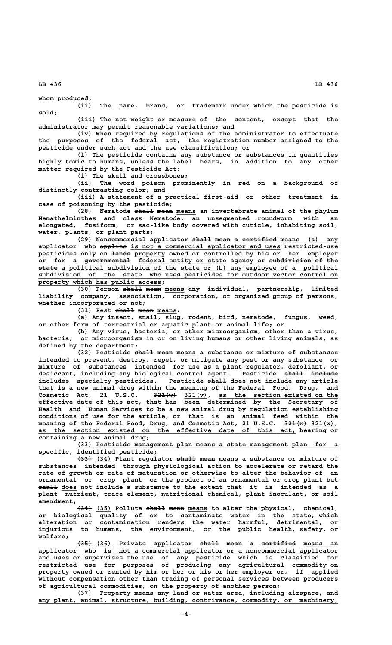**whom produced;**

**(ii) The name, brand, or trademark under which the pesticide is sold;**

**(iii) The net weight or measure of the content, except that the administrator may permit reasonable variations; and**

**(iv) When required by regulations of the administrator to effectuate the purposes of the federal act, the registration number assigned to the pesticide under such act and the use classification; or**

**(l) The pesticide contains any substance or substances in quantities highly toxic to humans, unless the label bears, in addition to any other matter required by the Pesticide Act:**

**(i) The skull and crossbones;**

**(ii) The word poison prominently in red on a background of distinctly contrasting color; and**

**(iii) A statement of a practical first-aid or other treatment in case of poisoning by the pesticide;**

(28) Nematode shall mean means an invertebrate animal of the phylum **Nemathelminthes and class Nematode, an unsegmented roundworm with an elongated, fusiform, or sac-like body covered with cuticle, inhabiting soil, water, plants, or plant parts;**

(29) Noncommercial applicator <del>shall</del> mean a certified means (a) any  **——————— \_\_\_\_\_\_\_\_\_\_\_\_\_\_\_\_\_\_\_\_\_\_\_\_\_\_\_\_\_\_\_\_\_\_\_\_\_\_\_ applicator who applies is not a commercial applicator and uses restricted-use ————— \_\_\_\_\_\_\_\_ pesticides only on lands property owned or controlled by his or her employer** or for a <del>governmental</del> federal entity or state agency or <del>subdivision</del> <del>of the</del>  **————— \_\_\_\_\_\_\_\_\_\_\_\_\_\_\_\_\_\_\_\_\_\_\_\_\_\_\_\_\_\_\_\_\_\_\_\_\_\_\_\_\_\_\_\_\_\_\_\_\_\_\_\_\_\_\_\_\_\_\_\_\_\_\_\_\_\_\_\_\_\_\_\_ state a political subdivision of the state or (b) any employee of a political \_\_\_\_\_\_\_\_\_\_\_\_\_\_\_\_\_\_\_\_\_\_\_\_\_\_\_\_\_\_\_\_\_\_\_\_\_\_\_\_\_\_\_\_\_\_\_\_\_\_\_\_\_\_\_\_\_\_\_\_\_\_\_\_\_\_\_\_\_\_\_\_\_\_\_\_\_\_ subdivision of the state who uses pesticides for outdoor vector control on \_\_\_\_\_\_\_\_\_\_\_\_\_\_\_\_\_\_\_\_\_\_\_\_\_\_\_\_\_\_\_\_ property which has public access;**

(30) Person shall mean means any individual, partnership, limited **liability company, association, corporation, or organized group of persons, whether incorporated or not;**

(31) Pest  $\frac{1}{n+1}$  mean means:

**(a) Any insect, snail, slug, rodent, bird, nematode, fungus, weed, or other form of terrestrial or aquatic plant or animal life; or**

**(b) Any virus, bacteria, or other microorganism, other than a virus, bacteria, or microorganism in or on living humans or other living animals, as defined by the department;**

(32) Pesticide shall mean means a substance or mixture of substances **intended to prevent, destroy, repel, or mitigate any pest or any substance or mixture of substances intended for use as a plant regulator, defoliant, or** desiccant, including any biological control agent. Pesticide shall include includes specialty pesticides. Pesticide shall does not include any article **that is a new animal drug within the meaning of the Federal Food, Drug, and —————— \_\_\_\_\_\_ \_\_\_\_\_\_\_\_\_\_\_\_\_\_\_\_\_\_\_\_\_\_\_\_\_\_\_\_\_\_\_ Cosmetic Act, 21 U.S.C. 321(w) 321(v), as the section existed on the \_\_\_\_\_\_\_\_\_\_\_\_\_\_\_\_\_\_\_\_\_\_\_\_\_\_\_ effective date of this act, that has been determined by the Secretary of Health and Human Services to be a new animal drug by regulation establishing conditions of use for the article, or that is an animal feed within the** meaning of the Federal Food, Drug, and Cosmetic Act, 21 U.S.C. 321(<del>x</del>) 321(w),  **\_\_\_\_\_\_\_\_\_\_\_\_\_\_\_\_\_\_\_\_\_\_\_\_\_\_\_\_\_\_\_\_\_\_\_\_\_\_\_\_\_\_\_\_\_\_\_\_\_\_\_\_\_\_\_\_\_\_\_\_\_\_\_\_\_\_\_ as the section existed on the effective date of this act, bearing or containing a new animal drug;**

 **\_\_\_\_\_\_\_\_\_\_\_\_\_\_\_\_\_\_\_\_\_\_\_\_\_\_\_\_\_\_\_\_\_\_\_\_\_\_\_\_\_\_\_\_\_\_\_\_\_\_\_\_\_\_\_\_\_\_\_\_\_\_\_\_\_\_\_\_ (33) Pesticide management plan means a state management plan for a \_\_\_\_\_\_\_\_\_\_\_\_\_\_\_\_\_\_\_\_\_\_\_\_\_\_\_\_\_\_\_ specific, identified pesticide;**

**(33)** (34) Plant regulator shall mean means a substance or mixture of **substances intended through physiological action to accelerate or retard the rate of growth or rate of maturation or otherwise to alter the behavior of an ornamental or crop plant or the product of an ornamental or crop plant but ————— \_\_\_\_ shall does not include a substance to the extent that it is intended as a plant nutrient, trace element, nutritional chemical, plant inoculant, or soil amendment;**

**(34)** (35) Pollute shall mean means to alter the physical, chemical, **or biological quality of or to contaminate water in the state, which alteration or contamination renders the water harmful, detrimental, or injurious to humans, the environment, or the public health, safety, or welfare;**

**(35)** (36) Private applicator <del>shall</del> mean a certified means an  **\_\_\_\_\_\_\_\_\_\_\_\_\_\_\_\_\_\_\_\_\_\_\_\_\_\_\_\_\_\_\_\_\_\_\_\_\_\_\_\_\_\_\_\_\_\_\_\_\_\_\_\_\_\_\_\_\_\_\_\_\_ applicator who is not a commercial applicator or a noncommercial applicator \_\_\_ and uses or supervises the use of any pesticide which is classified for restricted use for purposes of producing any agricultural commodity on property owned or rented by him or her or his or her employer or, if applied without compensation other than trading of personal services between producers of agricultural commodities, on the property of another person;**

 **\_\_\_\_\_\_\_\_\_\_\_\_\_\_\_\_\_\_\_\_\_\_\_\_\_\_\_\_\_\_\_\_\_\_\_\_\_\_\_\_\_\_\_\_\_\_\_\_\_\_\_\_\_\_\_\_\_\_\_\_\_\_\_\_\_\_\_\_ (37) Property means any land or water area, including airspace, and** any plant, animal, structure, building, contrivance, commodity, or machinery,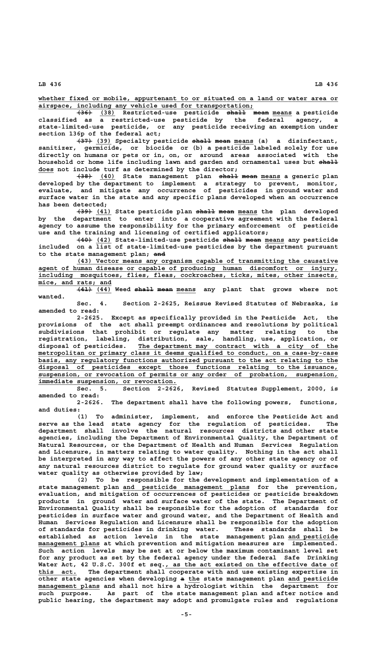**\_\_\_\_\_\_\_\_\_\_\_\_\_\_\_\_\_\_\_\_\_\_\_\_\_\_\_\_\_\_\_\_\_\_\_\_\_\_\_\_\_\_\_\_\_\_\_\_\_\_\_\_\_\_\_\_\_\_\_\_\_\_\_\_\_\_\_\_\_\_\_\_\_\_\_\_\_\_ whether fixed or mobile, appurtenant to or situated on a land or water area or \_\_\_\_\_\_\_\_\_\_\_\_\_\_\_\_\_\_\_\_\_\_\_\_\_\_\_\_\_\_\_\_\_\_\_\_\_\_\_\_\_\_\_\_\_\_\_\_\_\_\_\_\_\_\_\_ airspace, including any vehicle used for transportation;**

 **———— \_\_\_\_ ————— ———— \_\_\_\_\_ (36) (38) Restricted-use pesticide shall mean means a pesticide classified as a restricted-use pesticide by the federal agency, a state-limited-use pesticide, or any pesticide receiving an exemption under section 136p of the federal act;**

> **(37)** (39) Specialty pesticide  $\theta$  and  $\theta$  means (a) a disinfectant, **sanitizer, germicide, or biocide or (b) a pesticide labeled solely for use directly on humans or pets or in, on, or around areas associated with the household or home life including lawn and garden and ornamental uses but shall ————— \_\_\_\_ does not include turf as determined by the director;**

> <del>(38)</del> (40) State management plan <del>shall</del> mean means a generic plan **developed by the department to implement a strategy to prevent, monitor, evaluate, and mitigate any occurrence of pesticides in ground water and surface water in the state and any specific plans developed when an occurrence has been detected;**

> **(39) (41) State pesticide plan shall mean means the plan developed ———— \_\_\_\_ ————— ———— \_\_\_\_\_ by the department to enter into a cooperative agreement with the federal agency to assume the responsibility for the primary enforcement of pesticide use and the training and licensing of certified applicators;**

> **(40) (42) State-limited-use pesticide shall mean means any pesticide ———— \_\_\_\_ ————— ———— \_\_\_\_\_ included on a list of state-limited-use pesticides by the department pursuant ——— to the state management plan; and**

> **\_\_\_\_\_\_\_\_\_\_\_\_\_\_\_\_\_\_\_\_\_\_\_\_\_\_\_\_\_\_\_\_\_\_\_\_\_\_\_\_\_\_\_\_\_\_\_\_\_\_\_\_\_\_\_\_\_\_\_\_\_\_\_\_\_\_\_\_ (43) Vector means any organism capable of transmitting the causative \_\_\_\_\_\_\_\_\_\_\_\_\_\_\_\_\_\_\_\_\_\_\_\_\_\_\_\_\_\_\_\_\_\_\_\_\_\_\_\_\_\_\_\_\_\_\_\_\_\_\_\_\_\_\_\_\_\_\_\_\_\_\_\_\_\_\_\_\_\_\_\_\_\_\_\_\_\_ agent of human disease or capable of producing human discomfort or injury, \_\_\_\_\_\_\_\_\_\_\_\_\_\_\_\_\_\_\_\_\_\_\_\_\_\_\_\_\_\_\_\_\_\_\_\_\_\_\_\_\_\_\_\_\_\_\_\_\_\_\_\_\_\_\_\_\_\_\_\_\_\_\_\_\_\_\_\_\_\_\_\_\_\_\_\_\_\_ including mosquitoes, flies, fleas, cockroaches, ticks, mites, other insects, \_\_\_\_\_\_\_\_\_\_\_\_\_\_\_\_\_\_\_ mice, and rats; and**

> $\overline{441}$  (44) Weed shall mean means any plant that grows where not  **wanted.**

> **Sec. 4. Section 2-2625, Reissue Revised Statutes of Nebraska, is amended to read:**

**2-2625. Except as specifically provided in the Pesticide Act, the provisions of the act shall preempt ordinances and resolutions by political subdivisions that prohibit or regulate any matter relating to the registration, labeling, distribution, sale, handling, use, application, or \_\_\_\_\_\_\_\_\_\_\_\_\_\_\_\_\_\_\_\_\_\_\_\_\_\_\_\_\_\_\_\_\_\_\_\_\_\_\_\_\_\_\_\_\_\_\_\_\_\_\_\_ disposal of pesticides. The department may contract with a city of the \_\_\_\_\_\_\_\_\_\_\_\_\_\_\_\_\_\_\_\_\_\_\_\_\_\_\_\_\_\_\_\_\_\_\_\_\_\_\_\_\_\_\_\_\_\_\_\_\_\_\_\_\_\_\_\_\_\_\_\_\_\_\_\_\_\_\_\_\_\_\_\_\_\_\_\_\_\_ metropolitan or primary class it deems qualified to conduct, on a case-by-case** basis, any regulatory functions authorized pursuant to the act relating to the  **\_\_\_\_\_\_\_\_\_\_\_\_\_\_\_\_\_\_\_\_\_\_\_\_\_\_\_\_\_\_\_\_\_\_\_\_\_\_\_\_\_\_\_\_\_\_\_\_\_\_\_\_\_\_\_\_\_\_\_\_\_\_\_\_\_\_\_\_\_\_\_\_\_\_\_\_\_\_ disposal of pesticides except those functions relating to the issuance, \_\_\_\_\_\_\_\_\_\_\_\_\_\_\_\_\_\_\_\_\_\_\_\_\_\_\_\_\_\_\_\_\_\_\_\_\_\_\_\_\_\_\_\_\_\_\_\_\_\_\_\_\_\_\_\_\_\_\_\_\_\_\_\_\_\_\_\_\_\_\_\_\_\_\_\_\_\_ suspension, or revocation of permits or any order of probation, suspension, \_\_\_\_\_\_\_\_\_\_\_\_\_\_\_\_\_\_\_\_\_\_\_\_\_\_\_\_\_\_\_\_\_\_\_\_ immediate suspension, or revocation.**

**Sec. 5. Section 2-2626, Revised Statutes Supplement, 2000, is amended to read:**

**2-2626. The department shall have the following powers, functions, and duties:**

**(1) To administer, implement, and enforce the Pesticide Act and serve as the lead state agency for the regulation of pesticides. The department shall involve the natural resources districts and other state agencies, including the Department of Environmental Quality, the Department of Natural Resources, or the Department of Health and Human Services Regulation and Licensure, in matters relating to water quality. Nothing in the act shall be interpreted in any way to affect the powers of any other state agency or of any natural resources district to regulate for ground water quality or surface water quality as otherwise provided by law;**

**(2) To be responsible for the development and implementation of a \_\_\_\_\_\_\_\_\_\_\_\_\_\_\_\_\_\_\_\_\_\_\_\_\_\_\_\_\_\_\_\_\_ state management plan and pesticide management plans for the prevention, evaluation, and mitigation of occurrences of pesticides or pesticide breakdown products in ground water and surface water of the state. The Department of Environmental Quality shall be responsible for the adoption of standards for pesticides in surface water and ground water, and the Department of Health and Human Services Regulation and Licensure shall be responsible for the adoption of standards for pesticides in drinking water. These standards shall be established as action levels in the state management plan and pesticide \_\_\_\_\_\_\_\_\_\_\_\_\_** management plans at which prevention and mitigation measures are implemented. **Such action levels may be set at or below the maximum contaminant level set for any product as set by the federal agency under the federal Safe Drinking** Water Act, 42 U.S.C. 300f et seq., as the act existed on the effective date of  **\_\_\_\_\_\_\_\_\_\_ this act. The department shall cooperate with and use existing expertise in — \_\_\_ \_\_\_\_\_\_\_\_\_\_\_\_\_ other state agencies when developing a the state management plan and pesticide \_\_\_\_\_\_\_\_\_\_\_\_\_\_\_\_ management plans and shall not hire a hydrologist within the department for such purpose. As part of the state management plan and after notice and public hearing, the department may adopt and promulgate rules and regulations**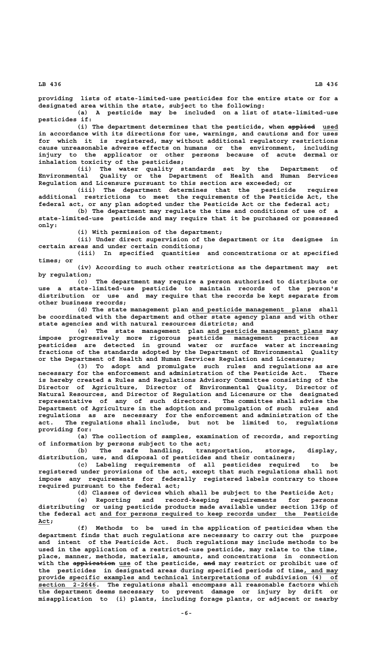**providing lists of state-limited-use pesticides for the entire state or for a designated area within the state, subject to the following:**

**(a) A pesticide may be included on a list of state-limited-use pesticides if:**

(i) The department determines that the pesticide, when applied used **in accordance with its directions for use, warnings, and cautions and for uses for which it is registered, may without additional regulatory restrictions cause unreasonable adverse effects on humans or the environment, including injury to the applicator or other persons because of acute dermal or inhalation toxicity of the pesticides;**

**(ii) The water quality standards set by the Department of Environmental Quality or the Department of Health and Human Services Regulation and Licensure pursuant to this section are exceeded; or**

**(iii) The department determines that the pesticide requires additional restrictions to meet the requirements of the Pesticide Act, the federal act, or any plan adopted under the Pesticide Act or the federal act;**

**(b) The department may regulate the time and conditions of use of a state-limited-use pesticide and may require that it be purchased or possessed only:**

**(i) With permission of the department;**

**(ii) Under direct supervision of the department or its designee in certain areas and under certain conditions;**

**(iii) In specified quantities and concentrations or at specified times; or**

**(iv) According to such other restrictions as the department may set by regulation;**

**(c) The department may require a person authorized to distribute or use a state-limited-use pesticide to maintain records of the person's distribution or use and may require that the records be kept separate from other business records;**

 **\_\_\_\_\_\_\_\_\_\_\_\_\_\_\_\_\_\_\_\_\_\_\_\_\_\_\_\_\_\_\_ (d) The state management plan and pesticide management plans shall be coordinated with the department and other state agency plans and with other state agencies and with natural resources districts; and**

 **\_\_\_\_\_\_\_\_\_\_\_\_\_\_\_\_\_\_\_\_\_\_\_\_\_\_\_\_\_\_ (e) The state management plan and pesticide management plans may impose progressively more rigorous pesticide management practices as pesticides are detected in ground water or surface water at increasing fractions of the standards adopted by the Department of Environmental Quality or the Department of Health and Human Services Regulation and Licensure;**

**(3) To adopt and promulgate such rules and regulations as are necessary for the enforcement and administration of the Pesticide Act. There is hereby created a Rules and Regulations Advisory Committee consisting of the Director of Agriculture, Director of Environmental Quality, Director of Natural Resources, and Director of Regulation and Licensure or the designated representative of any of such directors. The committee shall advise the Department of Agriculture in the adoption and promulgation of such rules and regulations as are necessary for the enforcement and administration of the act. The regulations shall include, but not be limited to, regulations providing for:**

**(a) The collection of samples, examination of records, and reporting of information by persons subject to the act;**

**(b) The safe handling, transportation, storage, display, distribution, use, and disposal of pesticides and their containers;**

**(c) Labeling requirements of all pesticides required to be registered under provisions of the act, except that such regulations shall not impose any requirements for federally registered labels contrary to those required pursuant to the federal act;**

**(d) Classes of devices which shall be subject to the Pesticide Act; (e) Reporting and record-keeping requirements for persons distributing or using pesticide products made available under section 136p of \_\_\_\_\_\_\_\_\_\_\_\_\_\_\_\_\_\_\_\_\_\_\_\_\_\_\_\_\_\_\_\_\_\_\_\_\_\_\_\_\_\_\_\_\_\_\_\_\_\_\_\_\_\_\_\_\_\_\_\_\_\_ the federal act and for persons required to keep records under the Pesticide Act;\_\_\_**

**(f) Methods to be used in the application of pesticides when the department finds that such regulations are necessary to carry out the purpose and intent of the Pesticide Act. Such regulations may include methods to be used in the application of a restricted-use pesticide, may relate to the time, place, manner, methods, materials, amounts, and concentrations in connection ——————————— \_\_\_ ——— with the application use of the pesticide, and may restrict or prohibit use of the pesticides in designated areas during specified periods of time, and may \_\_\_\_\_\_\_\_\_ \_\_\_\_\_\_\_\_\_\_\_\_\_\_\_\_\_\_\_\_\_\_\_\_\_\_\_\_\_\_\_\_\_\_\_\_\_\_\_\_\_\_\_\_\_\_\_\_\_\_\_\_\_\_\_\_\_\_\_\_\_\_\_\_\_\_\_\_\_\_\_\_\_\_\_\_\_\_ provide specific examples and technical interpretations of subdivision (4) of \_\_\_\_\_\_\_\_\_\_\_\_\_\_\_ section 2-2646. The regulations shall encompass all reasonable factors which the department deems necessary to prevent damage or injury by drift or misapplication to (i) plants, including forage plants, or adjacent or nearby**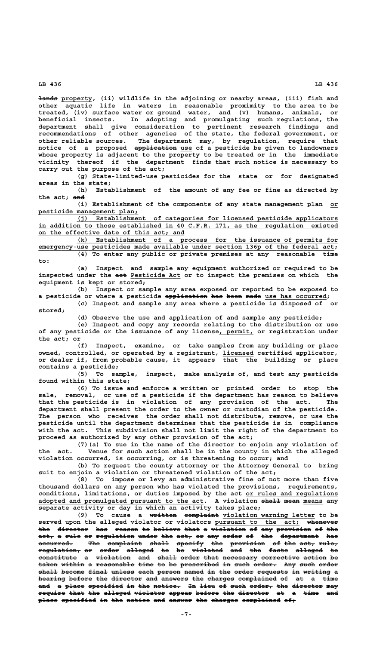**————— \_\_\_\_\_\_\_\_ lands property, (ii) wildlife in the adjoining or nearby areas, (iii) fish and other aquatic life in waters in reasonable proximity to the area to be treated, (iv) surface water or ground water, and (v) humans, animals, or beneficial insects. In adopting and promulgating such regulations, the department shall give consideration to pertinent research findings and recommendations of other agencies of the state, the federal government, or other reliable sources. The department may, by regulation, require that ——————————— \_\_\_ notice of a proposed application use of a pesticide be given to landowners whose property is adjacent to the property to be treated or in the immediate vicinity thereof if the department finds that such notice is necessary to carry out the purpose of the act;**

**(g) State-limited-use pesticides for the state or for designated areas in the state;**

**(h) Establishment of the amount of any fee or fine as directed by ——— the act; and**

**(i) Establishment of the components of any state management plan or\_\_ \_\_\_\_\_\_\_\_\_\_\_\_\_\_\_\_\_\_\_\_\_\_\_\_\_\_ pesticide management plan;**

 **\_\_\_\_\_\_\_\_\_\_\_\_\_\_\_\_\_\_\_\_\_\_\_\_\_\_\_\_\_\_\_\_\_\_\_\_\_\_\_\_\_\_\_\_\_\_\_\_\_\_\_\_\_\_\_\_\_\_\_\_\_\_\_\_\_\_\_\_ (j) Establishment of categories for licensed pesticide applicators \_\_\_\_\_\_\_\_\_\_\_\_\_\_\_\_\_\_\_\_\_\_\_\_\_\_\_\_\_\_\_\_\_\_\_\_\_\_\_\_\_\_\_\_\_\_\_\_\_\_\_\_\_\_\_\_\_\_\_\_\_\_\_\_\_\_\_\_\_\_\_\_\_\_\_\_\_\_ in addition to those established in 40 C.F.R. 171, as the regulation existed \_\_\_\_\_\_\_\_\_\_\_\_\_\_\_\_\_\_\_\_\_\_\_\_\_\_\_\_\_\_\_\_\_\_\_\_\_\_ on the effective date of this act; and**

 **\_\_\_\_\_\_\_\_\_\_\_\_\_\_\_\_\_\_\_\_\_\_\_\_\_\_\_\_\_\_\_\_\_\_\_\_\_\_\_\_\_\_\_\_\_\_\_\_\_\_\_\_\_\_\_\_\_\_\_\_\_\_\_\_\_\_\_\_ (k) Establishment of a process for the issuance of permits for \_\_\_\_\_\_\_\_\_\_\_\_\_\_\_\_\_\_\_\_\_\_\_\_\_\_\_\_\_\_\_\_\_\_\_\_\_\_\_\_\_\_\_\_\_\_\_\_\_\_\_\_\_\_\_\_\_\_\_\_\_\_\_\_\_\_\_\_\_\_\_\_\_\_\_\_\_ emergency-use pesticides made available under section 136p of the federal act; (4) To enter any public or private premises at any reasonable time to:**

**(a) Inspect and sample any equipment authorized or required to be** inspected under the act Pesticide Act or to inspect the premises on which the **equipment is kept or stored;**

**(b) Inspect or sample any area exposed or reported to be exposed to** a pesticide or where a pesticide application has been made use has occurred; **(c) Inspect and sample any area where a pesticide is disposed of or stored;**

**(d) Observe the use and application of and sample any pesticide;**

**(e) Inspect and copy any records relating to the distribution or use** of any pesticide or the issuance of any license, permit, or registration under **the act; or**

**(f) Inspect, examine, or take samples from any building or place owned, controlled, or operated by a registrant, licensed certified applicator, \_\_\_\_\_\_\_\_ or dealer if, from probable cause, it appears that the building or place contains a pesticide;**

**(5) To sample, inspect, make analysis of, and test any pesticide found within this state;**

**(6) To issue and enforce a written or printed order to stop the sale, removal, or use of a pesticide if the department has reason to believe that the pesticide is in violation of any provision of the act. The department shall present the order to the owner or custodian of the pesticide. The person who receives the order shall not distribute, remove, or use the pesticide until the department determines that the pesticide is in compliance with the act. This subdivision shall not limit the right of the department to proceed as authorized by any other provision of the act;**

**(7)(a) To sue in the name of the director to enjoin any violation of the act. Venue for such action shall be in the county in which the alleged violation occurred, is occurring, or is threatening to occur; and**

**(b) To request the county attorney or the Attorney General to bring suit to enjoin a violation or threatened violation of the act;**

**(8) To impose or levy an administrative fine of not more than five thousand dollars on any person who has violated the provisions, requirements,** conditions, limitations, or duties imposed by the act or rules and regulations adopted and promulgated pursuant to the act. A violation shall mean means any **separate activity or day in which an activity takes place;**

(9) To cause a written complaint violation warning letter to be served upon the alleged violator or violators pursuant to the act; whenever the director has reason to believe that a violation of any provision of the act, a rule or regulation under the act, or any order of the department has **occurred. The complaint shall specify the provision of the act, rule, ————————— ——— ————————— ————— ——————— ——— ————————— —— ——— ———— ———— regulation, or order alleged to be violated and the facts alleged to ——————————— —— ————— ——————— —— —— ———————— ——— ——— ————— ——————— —** constitute a violation and shall order that necessary corrective action be taken within a reasonable time to be prescribed in such order. Any such order shall become final unless each person named in the order requests in writing a hearing before the director and answers the charges complained of at a time and a place specified in the notice. In lieu of such order, the director may require that the alleged violator appear before the director at a time and place specified in the notice and answer the charges complained of,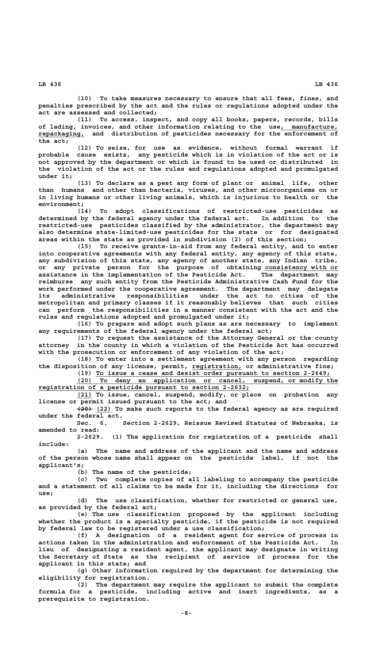**(10) To take measures necessary to ensure that all fees, fines, and penalties prescribed by the act and the rules or regulations adopted under the act are assessed and collected;**

**(11) To access, inspect, and copy all books, papers, records, bills** of lading, invoices, and other information relating to the use<sub>l</sub> manufacture,  **\_\_\_\_\_\_\_\_\_\_\_\_ repackaging, and distribution of pesticides necessary for the enforcement of the act;**

**(12) To seize, for use as evidence, without formal warrant if probable cause exists, any pesticide which is in violation of the act or is not approved by the department or which is found to be used or distributed in the violation of the act or the rules and regulations adopted and promulgated under it;**

**(13) To declare as a pest any form of plant or animal life, other than humans and other than bacteria, viruses, and other microorganisms on or in living humans or other living animals, which is injurious to health or the environment;**

**(14) To adopt classifications of restricted-use pesticides as determined by the federal agency under the federal act. In addition to the restricted-use pesticides classified by the administrator, the department may also determine state-limited-use pesticides for the state or for designated areas within the state as provided in subdivision (2) of this section;**

**(15) To receive grants-in-aid from any federal entity, and to enter into cooperative agreements with any federal entity, any agency of this state, any subdivision of this state, any agency of another state, any Indian tribe,** or any private person for the purpose of obtaining consistency with or **assistance in the implementation of the Pesticide Act. The department may reimburse any such entity from the Pesticide Administrative Cash Fund for the work performed under the cooperative agreement. The department may delegate its administrative responsibilities under the act to cities of the metropolitan and primary classes if it reasonably believes that such cities can perform the responsibilities in a manner consistent with the act and the rules and regulations adopted and promulgated under it;**

**(16) To prepare and adopt such plans as are necessary to implement any requirements of the federal agency under the federal act;**

**(17) To request the assistance of the Attorney General or the county attorney in the county in which a violation of the Pesticide Act has occurred with the prosecution or enforcement of any violation of the act;**

**(18) To enter into a settlement agreement with any person regarding** the disposition of any license, permit, registration, or administrative fine;

 **\_\_\_\_\_\_\_\_\_\_\_\_\_\_\_\_\_\_\_\_\_\_\_\_\_\_\_\_\_\_\_\_\_\_\_\_\_\_\_\_\_\_\_\_\_\_\_\_\_\_\_\_\_\_\_\_\_\_\_\_\_ (19) To issue a cease and desist order pursuant to section 2-2649; \_\_\_\_\_\_\_\_\_\_\_\_\_\_\_\_\_\_\_\_\_\_\_\_\_\_\_\_\_\_\_\_\_\_\_\_\_\_\_\_\_\_\_\_\_\_\_\_\_\_\_\_\_\_\_\_\_\_\_\_\_\_\_\_\_\_\_\_ (20) To deny an application or cancel, suspend, or modify the \_\_\_\_\_\_\_\_\_\_\_\_\_\_\_\_\_\_\_\_\_\_\_\_\_\_\_\_\_\_\_\_\_\_\_\_\_\_\_\_\_\_\_\_\_\_\_\_\_\_\_\_\_\_\_ registration of a pesticide pursuant to section 2-2632;**

 **\_\_\_\_ (21) To issue, cancel, suspend, modify, or place on probation any license or permit issued pursuant to the act; and**

 **———— \_\_\_\_ (20) (22) To make such reports to the federal agency as are required under the federal act.**

**Sec. 6. Section 2-2629, Reissue Revised Statutes of Nebraska, is amended to read:**

**2-2629. (1) The application for registration of a pesticide shall include:**

**(a) The name and address of the applicant and the name and address of the person whose name shall appear on the pesticide label, if not the applicant's;**

**(b) The name of the pesticide;**

**(c) Two complete copies of all labeling to accompany the pesticide and a statement of all claims to be made for it, including the directions for use;**

**(d) The use classification, whether for restricted or general use, as provided by the federal act;**

**(e) The use classification proposed by the applicant including whether the product is a specialty pesticide, if the pesticide is not required by federal law to be registered under a use classification;**

**(f) A designation of a resident agent for service of process in actions taken in the administration and enforcement of the Pesticide Act. In lieu of designating a resident agent, the applicant may designate in writing the Secretary of State as the recipient of service of process for the applicant in this state; and**

**(g) Other information required by the department for determining the eligibility for registration.**

**(2) The department may require the applicant to submit the complete formula for a pesticide, including active and inert ingredients, as a prerequisite to registration.**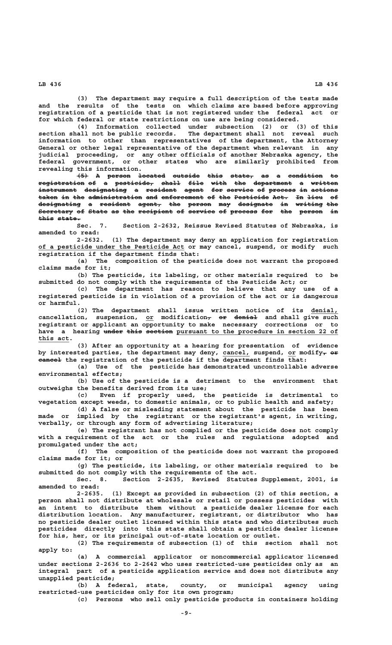**(3) The department may require a full description of the tests made and the results of the tests on which claims are based before approving registration of a pesticide that is not registered under the federal act or for which federal or state restrictions on use are being considered.**

**(4) Information collected under subsection (2) or (3) of this section shall not be public records. The department shall not reveal such information to other than representatives of the department, the Attorney General or other legal representative of the department when relevant in any judicial proceeding, or any other officials of another Nebraska agency, the federal government, or other states who are similarly prohibited from revealing this information.**

**(5) A person located outside this state, as a condition to ——— — —————— ——————— ——————— ———— —————— —— — ————————— — registration of a pesticide, shall file with the department a written ———————————— —— — —————————— ————— ———— ———— ——— —————————— — —————— instrument designating a resident agent for service of process in actions —————————— ——————————— — ———————— ————— ——— ——————— —— ——————— —— ——————** taken in the administration and enforcement of the Pesticide Act. In lieu of **designating a resident agent, the person may designate in writing the ——————————— — ———————— —————— ——— —————— ——— ————————— —— ——————— ——— Secretary of State as the recipient of service of process for the person in ————————— —— ————— —— ——— ————————— —— ——————— —— ——————— ——— ——— —————— — this state. ———— ——————**

**Sec. 7. Section 2-2632, Reissue Revised Statutes of Nebraska, is amended to read:**

**2-2632. (1) The department may deny an application for registration \_\_\_\_\_\_\_\_\_\_\_\_\_\_\_\_\_\_\_\_\_\_\_\_\_\_\_\_\_\_\_\_\_\_\_\_\_\_ of a pesticide under the Pesticide Act or may cancel, suspend, or modify such registration if the department finds that:**

**(a) The composition of the pesticide does not warrant the proposed claims made for it;**

**(b) The pesticide, its labeling, or other materials required to be submitted do not comply with the requirements of the Pesticide Act; or**

**(c) The department has reason to believe that any use of a registered pesticide is in violation of a provision of the act or is dangerous or harmful.**

**(2) The department shall issue written notice of its denial, \_\_\_\_\_\_\_ cancellation, suspension, or modification, or denial and shall give such \_\_ — —— ————— registrant or applicant an opportunity to make necessary corrections or to** have a hearing under this section pursuant to the procedure in section 22 of  **this act. \_\_\_\_\_\_\_\_**

**(3) After an opportunity at a hearing for presentation of evidence** by interested parties, the department may deny, cancel, suspend, or modify<del>, or</del>  **—————— cancel the registration of the pesticide if the department finds that:**

**(a) Use of the pesticide has demonstrated uncontrollable adverse environmental effects;**

**(b) Use of the pesticide is a detriment to the environment that outweighs the benefits derived from its use;**

**(c) Even if properly used, the pesticide is detrimental to vegetation except weeds, to domestic animals, or to public health and safety;**

**(d) A false or misleading statement about the pesticide has been made or implied by the registrant or the registrant's agent, in writing, verbally, or through any form of advertising literature;**

**(e) The registrant has not complied or the pesticide does not comply with a requirement of the act or the rules and regulations adopted and promulgated under the act;**

**(f) The composition of the pesticide does not warrant the proposed claims made for it; or**

**(g) The pesticide, its labeling, or other materials required to be submitted do not comply with the requirements of the act.**

**Sec. 8. Section 2-2635, Revised Statutes Supplement, 2001, is amended to read:**

**2-2635. (1) Except as provided in subsection (2) of this section, a person shall not distribute at wholesale or retail or possess pesticides with an intent to distribute them without a pesticide dealer license for each distribution location. Any manufacturer, registrant, or distributor who has no pesticide dealer outlet licensed within this state and who distributes such pesticides directly into this state shall obtain a pesticide dealer license for his, her, or its principal out-of-state location or outlet.**

**(2) The requirements of subsection (1) of this section shall not apply to:**

**(a) A commercial applicator or noncommercial applicator licensed under sections 2-2636 to 2-2642 who uses restricted-use pesticides only as an integral part of a pesticide application service and does not distribute any unapplied pesticide;**

**(b) A federal, state, county, or municipal agency using restricted-use pesticides only for its own program;**

**(c) Persons who sell only pesticide products in containers holding**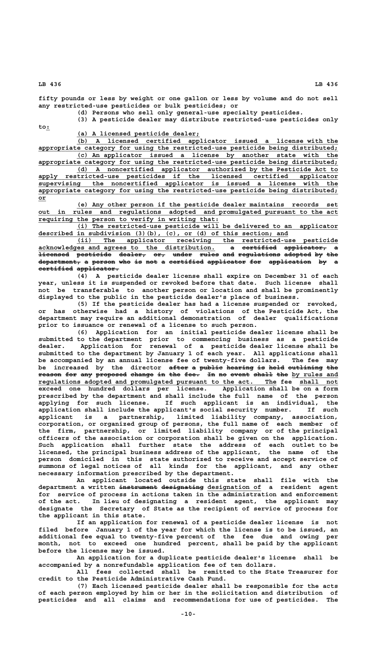**fifty pounds or less by weight or one gallon or less by volume and do not sell any restricted-use pesticides or bulk pesticides; or**

**(d) Persons who sell only general-use specialty pesticides.**

**(3) A pesticide dealer may distribute restricted-use pesticides only**

 **to: \_**

 **\_\_\_\_\_\_\_\_\_\_\_\_\_\_\_\_\_\_\_\_\_\_\_\_\_\_\_\_\_\_\_\_ (a) A licensed pesticide dealer;**

 **\_\_\_\_\_\_\_\_\_\_\_\_\_\_\_\_\_\_\_\_\_\_\_\_\_\_\_\_\_\_\_\_\_\_\_\_\_\_\_\_\_\_\_\_\_\_\_\_\_\_\_\_\_\_\_\_\_\_\_\_\_\_\_\_\_\_\_\_ (b) A licensed certified applicator issued a license with the \_\_\_\_\_\_\_\_\_\_\_\_\_\_\_\_\_\_\_\_\_\_\_\_\_\_\_\_\_\_\_\_\_\_\_\_\_\_\_\_\_\_\_\_\_\_\_\_\_\_\_\_\_\_\_\_\_\_\_\_\_\_\_\_\_\_\_\_\_\_\_\_\_\_\_\_\_\_ appropriate category for using the restricted-use pesticide being distributed; \_\_\_\_\_\_\_\_\_\_\_\_\_\_\_\_\_\_\_\_\_\_\_\_\_\_\_\_\_\_\_\_\_\_\_\_\_\_\_\_\_\_\_\_\_\_\_\_\_\_\_\_\_\_\_\_\_\_\_\_\_\_\_\_\_\_\_\_ (c) An applicator issued a license by another state with the**

 **\_\_\_\_\_\_\_\_\_\_\_\_\_\_\_\_\_\_\_\_\_\_\_\_\_\_\_\_\_\_\_\_\_\_\_\_\_\_\_\_\_\_\_\_\_\_\_\_\_\_\_\_\_\_\_\_\_\_\_\_\_\_\_\_\_\_\_\_\_\_\_\_\_\_\_\_\_\_ appropriate category for using the restricted-use pesticide being distributed; \_\_\_\_\_\_\_\_\_\_\_\_\_\_\_\_\_\_\_\_\_\_\_\_\_\_\_\_\_\_\_\_\_\_\_\_\_\_\_\_\_\_\_\_\_\_\_\_\_\_\_\_\_\_\_\_\_\_\_\_\_\_\_\_\_\_\_\_ (d) A noncertified applicator authorized by the Pesticide Act to \_\_\_\_\_\_\_\_\_\_\_\_\_\_\_\_\_\_\_\_\_\_\_\_\_\_\_\_\_\_\_\_\_\_\_\_\_\_\_\_\_\_\_\_\_\_\_\_\_\_\_\_\_\_\_\_\_\_\_\_\_\_\_\_\_\_\_\_\_\_\_\_\_\_\_\_\_\_ apply restricted-use pesticides if the licensed certified applicator \_\_\_\_\_\_\_\_\_\_\_\_\_\_\_\_\_\_\_\_\_\_\_\_\_\_\_\_\_\_\_\_\_\_\_\_\_\_\_\_\_\_\_\_\_\_\_\_\_\_\_\_\_\_\_\_\_\_\_\_\_\_\_\_\_\_\_\_\_\_\_\_\_\_\_\_\_\_ supervising the noncertified applicator is issued a license with the \_\_\_\_\_\_\_\_\_\_\_\_\_\_\_\_\_\_\_\_\_\_\_\_\_\_\_\_\_\_\_\_\_\_\_\_\_\_\_\_\_\_\_\_\_\_\_\_\_\_\_\_\_\_\_\_\_\_\_\_\_\_\_\_\_\_\_\_\_\_\_\_\_\_\_\_\_\_ appropriate category for using the restricted-use pesticide being distributed; or\_\_**

 **\_\_\_\_\_\_\_\_\_\_\_\_\_\_\_\_\_\_\_\_\_\_\_\_\_\_\_\_\_\_\_\_\_\_\_\_\_\_\_\_\_\_\_\_\_\_\_\_\_\_\_\_\_\_\_\_\_\_\_\_\_\_\_\_\_\_\_\_ (e) Any other person if the pesticide dealer maintains records set \_\_\_\_\_\_\_\_\_\_\_\_\_\_\_\_\_\_\_\_\_\_\_\_\_\_\_\_\_\_\_\_\_\_\_\_\_\_\_\_\_\_\_\_\_\_\_\_\_\_\_\_\_\_\_\_\_\_\_\_\_\_\_\_\_\_\_\_\_\_\_\_\_\_\_\_\_\_ out in rules and regulations adopted and promulgated pursuant to the act** requiring the person to verify in writing that:

 **\_\_\_\_\_\_\_\_\_\_\_\_\_\_\_\_\_\_\_\_\_\_\_\_\_\_\_\_\_\_\_\_\_\_\_\_\_\_\_\_\_\_\_\_\_\_\_\_\_\_\_\_\_\_\_\_\_\_\_\_\_\_\_\_\_\_\_\_ (i) The restricted-use pesticide will be delivered to an applicator \_\_\_\_\_\_\_\_\_\_\_\_\_\_\_\_\_\_\_\_\_\_\_\_\_\_\_\_\_\_\_\_\_\_\_\_\_\_\_\_\_\_\_\_\_\_\_\_\_\_\_\_\_\_\_\_\_\_\_\_\_\_\_\_\_ described in subdivision (3)(b), (c), or (d) of this section; and**

 **\_\_\_\_\_\_\_\_\_\_\_\_\_\_\_\_\_\_\_\_\_\_\_\_\_\_\_\_\_\_\_\_\_\_\_\_\_\_\_\_\_\_\_\_\_\_\_\_\_\_\_\_\_\_\_\_\_\_\_\_\_\_\_\_\_\_\_\_ (ii) The applicator receiving the restricted-use pesticide acknowledges and agrees to the distribution. a certified applicator, a \_\_\_\_\_\_\_\_\_\_\_\_\_\_\_\_\_\_\_\_\_\_\_\_\_\_\_\_\_\_\_\_\_\_\_\_\_\_\_\_\_\_\_\_\_\_ — ————————— ———————————**  acknowledges and agrees to the distribution. 
<del>a certified applicator, a</del><br><del>licensed</del> pesticide dealer, or, under rules and regulations adopted by the</del> department, a person who is not a certified applicator for application by a certified applicator.

**(4) A pesticide dealer license shall expire on December 31 of each year, unless it is suspended or revoked before that date. Such license shall not be transferable to another person or location and shall be prominently displayed to the public in the pesticide dealer's place of business.**

**(5) If the pesticide dealer has had a license suspended or revoked, or has otherwise had a history of violations of the Pesticide Act, the department may require an additional demonstration of dealer qualifications prior to issuance or renewal of a license to such person.**

**(6) Application for an initial pesticide dealer license shall be submitted to the department prior to commencing business as a pesticide dealer. Application for renewal of a pesticide dealer license shall be submitted to the department by January 1 of each year. All applications shall be accompanied by an annual license fee of twenty-five dollars. The fee may** be increased by the director after a public hearing is held outlining the reason for any proposed change in the fee. In no event shall the by rules and  **\_\_\_\_\_\_\_\_\_\_\_\_\_\_\_\_\_\_\_\_\_\_\_\_\_\_\_\_\_\_\_\_\_\_\_\_\_\_\_\_\_\_\_\_\_\_\_\_\_\_\_\_\_\_\_\_\_\_\_\_\_\_ \_\_\_\_\_\_\_\_\_\_ regulations adopted and promulgated pursuant to the act. The fee shall not exceed one hundred dollars per license. Application shall be on a form prescribed by the department and shall include the full name of the person applying for such license. If such applicant is an individual, the application shall include the applicant's social security number. If such applicant is a partnership, limited liability company, association, corporation, or organized group of persons, the full name of each member of the firm, partnership, or limited liability company or of the principal officers of the association or corporation shall be given on the application. Such application shall further state the address of each outlet to be licensed, the principal business address of the applicant, the name of the person domiciled in this state authorized to receive and accept service of summons of legal notices of all kinds for the applicant, and any other necessary information prescribed by the department.**

**An applicant located outside this state shall file with the**  $\texttt{department}\ \texttt{a}\ \texttt{written}\ \texttt{incurrent}\ \texttt{dest}$  designation of a resident agent **for service of process in actions taken in the administration and enforcement of the act. In lieu of designating a resident agent, the applicant may designate the Secretary of State as the recipient of service of process for the applicant in this state.**

**If an application for renewal of a pesticide dealer license is not filed before January 1 of the year for which the license is to be issued, an additional fee equal to twenty-five percent of the fee due and owing per month, not to exceed one hundred percent, shall be paid by the applicant before the license may be issued.**

**An application for a duplicate pesticide dealer's license shall be accompanied by a nonrefundable application fee of ten dollars.**

**All fees collected shall be remitted to the State Treasurer for credit to the Pesticide Administrative Cash Fund.**

**(7) Each licensed pesticide dealer shall be responsible for the acts of each person employed by him or her in the solicitation and distribution of pesticides and all claims and recommendations for use of pesticides. The**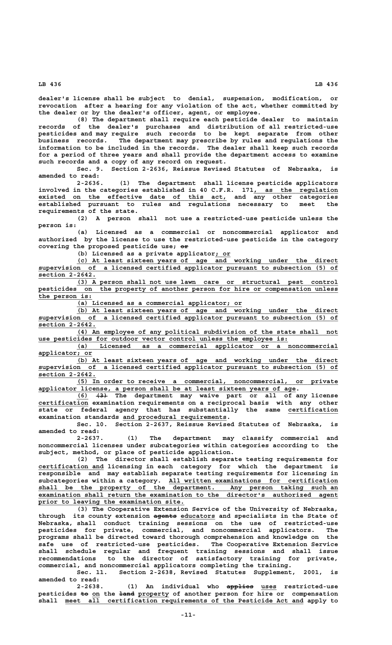**dealer's license shall be subject to denial, suspension, modification, or revocation after a hearing for any violation of the act, whether committed by the dealer or by the dealer's officer, agent, or employee.**

**(8) The department shall require each pesticide dealer to maintain records of the dealer's purchases and distribution of all restricted-use pesticides and may require such records to be kept separate from other business records. The department may prescribe by rules and regulations the information to be included in the records. The dealer shall keep such records for a period of three years and shall provide the department access to examine such records and a copy of any record on request.**

**Sec. 9. Section 2-2636, Reissue Revised Statutes of Nebraska, is amended to read:**

**2-2636. (1) The department shall license pesticide applicators** involved in the categories established in 40 C.F.R. 171, as the regulation  **\_\_\_\_\_\_\_\_\_\_\_\_\_\_\_\_\_\_\_\_\_\_\_\_\_\_\_\_\_\_\_\_\_\_\_\_\_\_\_\_\_\_\_\_\_\_\_\_\_ existed on the effective date of this act, and any other categories established pursuant to rules and regulations necessary to meet the requirements of the state.**

**(2) A person shall not use a restricted-use pesticide unless the person is:**

**(a) Licensed as a commercial or noncommercial applicator and authorized by the license to use the restricted-use pesticide in the category —— covering the proposed pesticide use; or**

**(b) Licensed as a private applicator; or \_\_\_\_**

 **\_\_\_\_\_\_\_\_\_\_\_\_\_\_\_\_\_\_\_\_\_\_\_\_\_\_\_\_\_\_\_\_\_\_\_\_\_\_\_\_\_\_\_\_\_\_\_\_\_\_\_\_\_\_\_\_\_\_\_\_\_\_\_\_\_\_\_\_ (c) At least sixteen years of age and working under the direct \_\_\_\_\_\_\_\_\_\_\_\_\_\_\_\_\_\_\_\_\_\_\_\_\_\_\_\_\_\_\_\_\_\_\_\_\_\_\_\_\_\_\_\_\_\_\_\_\_\_\_\_\_\_\_\_\_\_\_\_\_\_\_\_\_\_\_\_\_\_\_\_\_\_\_\_\_\_ supervision of a licensed certified applicator pursuant to subsection (5) of section 2-2642. \_\_\_\_\_\_\_\_\_\_\_\_\_\_\_**

 **\_\_\_\_\_\_\_\_\_\_\_\_\_\_\_\_\_\_\_\_\_\_\_\_\_\_\_\_\_\_\_\_\_\_\_\_\_\_\_\_\_\_\_\_\_\_\_\_\_\_\_\_\_\_\_\_\_\_\_\_\_\_\_\_\_\_\_\_ (3) A person shall not use lawn care or structural pest control \_\_\_\_\_\_\_\_\_\_\_\_\_\_\_\_\_\_\_\_\_\_\_\_\_\_\_\_\_\_\_\_\_\_\_\_\_\_\_\_\_\_\_\_\_\_\_\_\_\_\_\_\_\_\_\_\_\_\_\_\_\_\_\_\_\_\_\_\_\_\_\_\_\_\_\_\_\_ pesticides on the property of another person for hire or compensation unless \_\_\_\_\_\_\_\_\_\_\_\_\_\_ the person is:**

 **\_\_\_\_\_\_\_\_\_\_\_\_\_\_\_\_\_\_\_\_\_\_\_\_\_\_\_\_\_\_\_\_\_\_\_\_\_\_\_\_\_\_\_ (a) Licensed as a commercial applicator; or**

 **\_\_\_\_\_\_\_\_\_\_\_\_\_\_\_\_\_\_\_\_\_\_\_\_\_\_\_\_\_\_\_\_\_\_\_\_\_\_\_\_\_\_\_\_\_\_\_\_\_\_\_\_\_\_\_\_\_\_\_\_\_\_\_\_\_\_\_\_ (b) At least sixteen years of age and working under the direct \_\_\_\_\_\_\_\_\_\_\_\_\_\_\_\_\_\_\_\_\_\_\_\_\_\_\_\_\_\_\_\_\_\_\_\_\_\_\_\_\_\_\_\_\_\_\_\_\_\_\_\_\_\_\_\_\_\_\_\_\_\_\_\_\_\_\_\_\_\_\_\_\_\_\_\_\_\_ supervision of a licensed certified applicator pursuant to subsection (5) of section 2-2642. \_\_\_\_\_\_\_\_\_\_\_\_\_\_\_**

 **\_\_\_\_\_\_\_\_\_\_\_\_\_\_\_\_\_\_\_\_\_\_\_\_\_\_\_\_\_\_\_\_\_\_\_\_\_\_\_\_\_\_\_\_\_\_\_\_\_\_\_\_\_\_\_\_\_\_\_\_\_\_\_\_\_\_\_\_ (4) An employee of any political subdivision of the state shall not \_\_\_\_\_\_\_\_\_\_\_\_\_\_\_\_\_\_\_\_\_\_\_\_\_\_\_\_\_\_\_\_\_\_\_\_\_\_\_\_\_\_\_\_\_\_\_\_\_\_\_\_\_\_\_\_\_\_\_\_\_\_\_\_\_ use pesticides for outdoor vector control unless the employee is:**

 **\_\_\_\_\_\_\_\_\_\_\_\_\_\_\_\_\_\_\_\_\_\_\_\_\_\_\_\_\_\_\_\_\_\_\_\_\_\_\_\_\_\_\_\_\_\_\_\_\_\_\_\_\_\_\_\_\_\_\_\_\_\_\_\_\_\_\_\_ (a) Licensed as a commercial applicator or a noncommercial applicator; or \_\_\_\_\_\_\_\_\_\_\_\_\_\_**

 **\_\_\_\_\_\_\_\_\_\_\_\_\_\_\_\_\_\_\_\_\_\_\_\_\_\_\_\_\_\_\_\_\_\_\_\_\_\_\_\_\_\_\_\_\_\_\_\_\_\_\_\_\_\_\_\_\_\_\_\_\_\_\_\_\_\_\_\_ (b) At least sixteen years of age and working under the direct \_\_\_\_\_\_\_\_\_\_\_\_\_\_\_\_\_\_\_\_\_\_\_\_\_\_\_\_\_\_\_\_\_\_\_\_\_\_\_\_\_\_\_\_\_\_\_\_\_\_\_\_\_\_\_\_\_\_\_\_\_\_\_\_\_\_\_\_\_\_\_\_\_\_\_\_\_\_ supervision of a licensed certified applicator pursuant to subsection (5) of section 2-2642. \_\_\_\_\_\_\_\_\_\_\_\_\_\_\_**

 **\_\_\_\_\_\_\_\_\_\_\_\_\_\_\_\_\_\_\_\_\_\_\_\_\_\_\_\_\_\_\_\_\_\_\_\_\_\_\_\_\_\_\_\_\_\_\_\_\_\_\_\_\_\_\_\_\_\_\_\_\_\_\_\_\_\_\_\_ (5) In order to receive a commercial, noncommercial, or private \_\_\_\_\_\_\_\_\_\_\_\_\_\_\_\_\_\_\_\_\_\_\_\_\_\_\_\_\_\_\_\_\_\_\_\_\_\_\_\_\_\_\_\_\_\_\_\_\_\_\_\_\_\_\_\_\_\_\_\_\_\_\_\_\_\_\_ applicator license, a person shall be at least sixteen years of age.**

 **\_\_\_ ——— (6) (3) The department may waive part or all of any license \_\_\_\_\_\_\_\_\_\_\_\_\_ certification examination requirements on a reciprocal basis with any other state or federal agency that has substantially the same certification \_\_\_\_\_\_\_\_\_\_\_\_\_ \_\_\_\_\_\_\_\_\_\_\_\_\_\_\_\_\_\_\_\_\_\_\_\_\_\_\_ examination standards and procedural requirements.**

**Sec. 10. Section 2-2637, Reissue Revised Statutes of Nebraska, is amended to read:**

**2-2637. (1) The department may classify commercial and noncommercial licenses under subcategories within categories according to the subject, method, or place of pesticide application.**

**(2) The director shall establish separate testing requirements for \_\_\_\_\_\_\_\_\_\_\_\_\_\_\_\_\_ certification and licensing in each category for which the department is responsible and may establish separate testing requirements for licensing in \_\_\_\_\_\_\_\_\_\_\_\_\_\_\_\_\_\_\_\_\_\_\_\_\_\_\_\_\_\_\_\_\_\_\_\_\_\_\_\_\_\_\_\_ subcategories within a category. All written examinations for certification \_\_\_\_\_\_\_\_\_\_\_\_\_\_\_\_\_\_\_\_\_\_\_\_\_\_\_\_\_\_\_\_\_\_\_\_\_\_\_\_\_\_\_\_\_\_\_\_\_\_\_\_\_\_\_\_\_\_\_\_\_\_\_\_\_\_\_\_\_\_\_\_\_\_\_\_\_\_ shall be the property of the department. Any person taking such an \_\_\_\_\_\_\_\_\_\_\_\_\_\_\_\_\_\_\_\_\_\_\_\_\_\_\_\_\_\_\_\_\_\_\_\_\_\_\_\_\_\_\_\_\_\_\_\_\_\_\_\_\_\_\_\_\_\_\_\_\_\_\_\_\_\_\_\_\_\_\_\_\_\_\_\_\_\_ examination shall return the examination to the director's authorized agent \_\_\_\_\_\_\_\_\_\_\_\_\_\_\_\_\_\_\_\_\_\_\_\_\_\_\_\_\_\_\_\_\_\_\_\_\_\_ prior to leaving the examination site.**

> **(3) The Cooperative Extension Service of the University of Nebraska,** through its county extension agents educators and specialists in the State of **Nebraska, shall conduct training sessions on the use of restricted-use pesticides for private, commercial, and noncommercial applicators. The programs shall be directed toward thorough comprehension and knowledge on the safe use of restricted-use pesticides. The Cooperative Extension Service shall schedule regular and frequent training sessions and shall issue recommendations to the director of satisfactory training for private, commercial, and noncommercial applicators completing the training.**

> **Sec. 11. Section 2-2638, Revised Statutes Supplement, 2001, is amended to read:**

> 2-2638. (1) An individual who applies uses restricted-use pesticides <del>to</del> on the land property of another person for hire or compensation  **\_\_\_\_\_\_\_\_\_\_\_\_\_\_\_\_\_\_\_\_\_\_\_\_\_\_\_\_\_\_\_\_\_\_\_\_\_\_\_\_\_\_\_\_\_\_\_\_\_\_\_\_\_\_\_\_\_\_\_\_\_\_ shall meet all certification requirements of the Pesticide Act and apply to**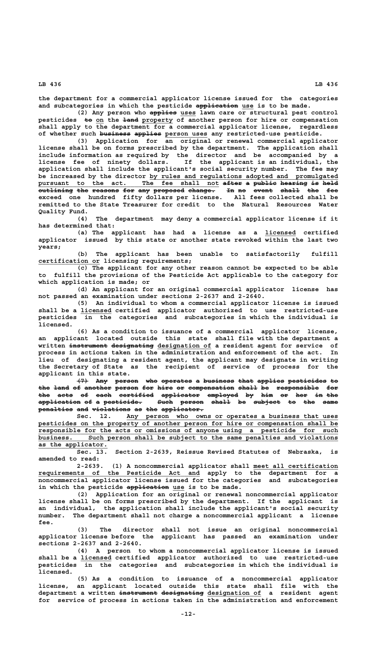**the department for a commercial applicator license issued for the categories** and subcategories in which the pesticide application use is to be made.

(2) Any person who applies uses lawn care or structural pest control pesticides  $\frac{1}{2}$  to  $\frac{1}{2}$  **hand property** of another person for hire or compensation **shall apply to the department for a commercial applicator license, regardless** of whether such business applies person uses any restricted-use pesticide.

**(3) Application for an original or renewal commercial applicator license shall be on forms prescribed by the department. The application shall include information as required by the director and be accompanied by a license fee of ninety dollars. If the applicant is an individual, the application shall include the applicant's social security number. The fee may \_\_\_\_\_\_\_\_\_\_\_\_\_\_\_\_\_\_\_\_\_\_\_\_\_\_\_\_\_\_\_\_\_\_\_\_\_\_\_\_\_\_\_\_\_\_\_\_\_ be increased by the director by rules and regulations adopted and promulgated pursuant to the act. The fee shall not after a public hearing is held \_\_\_\_\_\_\_\_\_\_\_\_\_\_\_\_\_\_\_\_\_\_\_\_\_\_\_\_\_\_\_\_\_\_\_\_\_\_\_\_\_\_\_\_\_\_\_ ————— — —————— ——————— —— ——— outlining the reasons for any proposed change. In no event shall the fee ————————— ——— ——————— ——— ——— ———————— ——————— —— —— ————— ————— ——— —— exceed one hundred fifty dollars per license. All fees collected shall be remitted to the State Treasurer for credit to the Natural Resources Water Quality Fund.**

> **(4) The department may deny a commercial applicator license if it has determined that:**

> **(a) The applicant has had a license as a licensed certified \_\_\_\_\_\_\_\_ applicator issued by this state or another state revoked within the last two years;**

> **(b) The applicant has been unable to satisfactorily fulfill \_\_\_\_\_\_\_\_\_\_\_\_\_\_\_\_ certification or licensing requirements;**

> **(c) The applicant for any other reason cannot be expected to be able to fulfill the provisions of the Pesticide Act applicable to the category for which application is made; or**

> **(d) An applicant for an original commercial applicator license has not passed an examination under sections 2-2637 and 2-2640.**

**(5) An individual to whom a commercial applicator license is issued \_\_\_\_\_\_\_\_ shall be a licensed certified applicator authorized to use restricted-use pesticides in the categories and subcategories in which the individual is licensed.**

> **(6) As a condition to issuance of a commercial applicator license, an applicant located outside this state shall file with the department a** written <del>instrument designating</del> designation of a resident agent for service of **process in actions taken in the administration and enforcement of the act. In lieu of designating a resident agent, the applicant may designate in writing the Secretary of State as the recipient of service of process for the applicant in this state.**

> **(7) Any person who operates a business that applies pesticides to ——— ——— —————— ——— ———————— — ———————— ———— ——————— —————————— —** the <del>land</del> of <del>another person for hire or compensation shall</del> be responsible for the acts of each certified applicator employed by him or her in-the **dividends application of a pesticide. Such person shall be subject to the same ——————————— —— — —————————— ———— —————— ————— —— ——————— —— ——— ——— penalties and violations as the applicator. ————————— ——— —————————— —— ——— ———————————**

 **\_\_\_\_\_\_\_\_\_\_\_\_\_\_\_\_\_\_\_\_\_\_\_\_\_\_\_\_\_\_\_\_\_\_\_\_\_\_\_\_\_\_\_\_\_\_\_\_\_\_\_\_\_\_\_ Sec. 12. Any person who owns or operates a business that uses \_\_\_\_\_\_\_\_\_\_\_\_\_\_\_\_\_\_\_\_\_\_\_\_\_\_\_\_\_\_\_\_\_\_\_\_\_\_\_\_\_\_\_\_\_\_\_\_\_\_\_\_\_\_\_\_\_\_\_\_\_\_\_\_\_\_\_\_\_\_\_\_\_\_\_\_\_\_ pesticides on the property of another person for hire or compensation shall be \_\_\_\_\_\_\_\_\_\_\_\_\_\_\_\_\_\_\_\_\_\_\_\_\_\_\_\_\_\_\_\_\_\_\_\_\_\_\_\_\_\_\_\_\_\_\_\_\_\_\_\_\_\_\_\_\_\_\_\_\_\_\_\_\_\_\_\_\_\_\_\_\_\_\_\_\_\_ responsible for the acts or omissions of anyone using a pesticide for such \_\_\_\_\_\_\_\_\_\_\_\_\_\_\_\_\_\_\_\_\_\_\_\_\_\_\_\_\_\_\_\_\_\_\_\_\_\_\_\_\_\_\_\_\_\_\_\_\_\_\_\_\_\_\_\_\_\_\_\_\_\_\_\_\_\_\_\_\_\_\_\_\_\_\_\_\_\_ business. Such person shall be subject to the same penalties and violations \_\_\_\_\_\_\_\_\_\_\_\_\_\_\_\_\_\_ as the applicator.**

**Sec. 13. Section 2-2639, Reissue Revised Statutes of Nebraska, is amended to read:**

**2-2639. (1) A noncommercial applicator shall meet all certification \_\_\_\_\_\_\_\_\_\_\_\_\_\_\_\_\_\_\_\_\_\_ \_\_\_\_\_\_\_\_\_\_\_\_\_\_\_\_\_\_\_\_\_\_\_\_\_\_\_\_\_\_\_\_\_\_\_\_\_\_\_\_\_\_ requirements of the Pesticide Act and apply to the department for a noncommercial applicator license issued for the categories and subcategories** in which the pesticide application use is to be made.

**(2) Application for an original or renewal noncommercial applicator license shall be on forms prescribed by the department. If the applicant is an individual, the application shall include the applicant's social security number. The department shall not charge a noncommercial applicant a license fee.**

**(3) The director shall not issue an original noncommercial applicator license before the applicant has passed an examination under sections 2-2637 and 2-2640.**

**(4) A person to whom a noncommercial applicator license is issued** shall be a *licensed* certified applicator authorized to use restricted-use **pesticides in the categories and subcategories in which the individual is licensed.**

**(5) As a condition to issuance of a noncommercial applicator license, an applicant located outside this state shall file with the**  $\texttt{department}$  a written <del>instrument designating</del> designation of a resident agent **for service of process in actions taken in the administration and enforcement**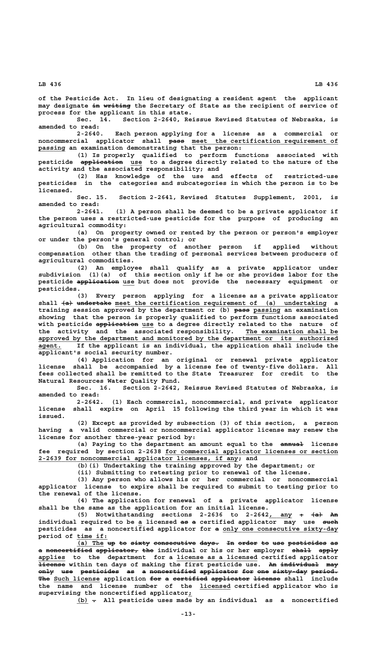**of the Pesticide Act. In lieu of designating a resident agent the applicant** may designate in writing the Secretary of State as the recipient of service of **process for the applicant in this state.**

**Sec. 14. Section 2-2640, Reissue Revised Statutes of Nebraska, is amended to read:**

**2-2640. Each person applying for a license as a commercial or ———— \_\_\_\_\_\_\_\_\_\_\_\_\_\_\_\_\_\_\_\_\_\_\_\_\_\_\_\_\_\_\_\_\_\_\_\_\_\_ noncommercial applicator shall pass meet the certification requirement of \_\_\_\_\_\_\_ passing an examination demonstrating that the person:**

**(1) Is properly qualified to perform functions associated with** pesticide  $\frac{1}{2}$   $\frac{1}{2}$   $\frac{1}{2}$   $\frac{1}{2}$   $\frac{1}{2}$   $\frac{1}{2}$   $\frac{1}{2}$  to a degree directly related to the nature of the **activity and the associated responsibility; and**

**(2) Has knowledge of the use and effects of restricted-use pesticides in the categories and subcategories in which the person is to be licensed.**

**Sec. 15. Section 2-2641, Revised Statutes Supplement, 2001, is amended to read:**

**2-2641. (1) A person shall be deemed to be a private applicator if the person uses a restricted-use pesticide for the purpose of producing an agricultural commodity:**

**(a) On property owned or rented by the person or person's employer or under the person's general control; or**

**(b) On the property of another person if applied without compensation other than the trading of personal services between producers of agricultural commodities.**

**(2) An employee shall qualify as a private applicator under subdivision (1)(a) of this section only if he or she provides labor for the** pesticide application use but does not provide the necessary equipment or  **pesticides.**

**(3) Every person applying for a license as a private applicator** shall <del>(a) undertake</del> meet the certification requirement of (a) undertaking a training session approved by the department or (b) **pass** passing an examination **showing that the person is properly qualified to perform functions associated** with pesticide application use to a degree directly related to the nature of the activity and the associated responsibility. The examination shall be  **\_\_\_\_\_\_\_\_\_\_\_\_\_\_\_\_\_\_\_\_\_\_\_\_\_\_\_\_\_\_\_\_\_\_\_\_\_\_\_\_\_\_\_\_\_\_\_\_\_\_\_\_\_\_\_\_\_\_\_\_\_\_\_\_\_\_\_\_\_\_\_\_\_\_\_\_\_\_ approved by the department and monitored by the department or its authorized \_\_\_\_\_\_ agent. If the applicant is an individual, the application shall include the applicant's social security number.**

> **(4) Application for an original or renewal private applicator license shall be accompanied by a license fee of twenty-five dollars. All fees collected shall be remitted to the State Treasurer for credit to the Natural Resources Water Quality Fund.**

> Section 2-2642, Reissue Revised Statutes of Nebraska, is **amended to read:**

> **2-2642. (1) Each commercial, noncommercial, and private applicator license shall expire on April 15 following the third year in which it was issued.**

> **(2) Except as provided by subsection (3) of this section, a person having a valid commercial or noncommercial applicator license may renew the license for another three-year period by:**

> (a) Paying to the department an amount equal to the  $\frac{1}{2}$  license  **\_\_\_\_\_\_\_\_\_\_\_\_\_\_\_\_\_\_\_\_\_\_\_\_\_\_\_\_\_\_\_\_\_\_\_\_\_\_\_\_\_\_\_\_\_ fee required by section 2-2638 for commercial applicator licenses or section \_\_\_\_\_\_\_\_\_\_\_\_\_\_\_\_\_\_\_\_\_\_\_\_\_\_\_\_\_\_\_\_\_\_\_\_\_\_\_\_\_\_\_\_\_\_\_\_\_\_\_\_ 2-2639 for noncommercial applicator licenses, if any; and**

> > **(b)(i) Undertaking the training approved by the department; or**

**(ii) Submitting to retesting prior to renewal of the license.**

**(3) Any person who allows his or her commercial or noncommercial applicator license to expire shall be required to submit to testing prior to the renewal of the license.**

**(4) The application for renewal of a private applicator license shall be the same as the application for an initial license.**

(5) Notwithstanding sections 2-2636 to 2-2642<sub>*,* any +  $\leftarrow$   $\leftarrow$   $\rightarrow$   $\rightarrow$ </sub> individual required to be a licensed as a certified applicator may use such pesticides as a noncertified applicator for a only one consecutive sixty-day  **\_\_\_\_\_\_\_\_ period of time if:**

**(a) The up to sixty consecutive days. In order to use pesticides as \_\_\_\_\_\_\_ —— —— ————— ——————————— ————— —— ————— —— ——— —————————— —** a noncertified applicator, the individual or his or her employer shall apply applies to the department for a license as a licensed certified applicator  **——————— —— —————————— ——— license within ten days of making the first pesticide use. An individual may** only use pesticides as a noncertified applicator for one sixty-day period. The Such license application for a certified applicator license shall include  **\_\_\_\_\_\_\_\_ the name and license number of the licensed certified applicator who is \_ supervising the noncertified applicator;**

 **\_\_\_ — (b) . All pesticide uses made by an individual as a noncertified**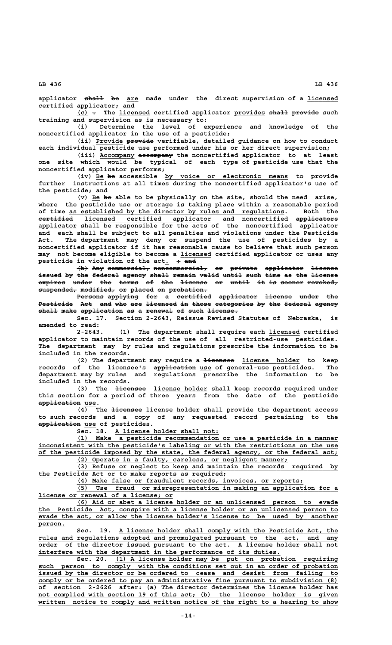applicator shall be are made under the direct supervision of a licensed  **\_\_\_\_\_ certified applicator; and**

**(c)** - The licensed certified applicator provides shall provide such **training and supervision as is necessary to:**

**(i) Determine the level of experience and knowledge of the noncertified applicator in the use of a pesticide;**

 **\_\_\_\_\_\_\_ ——————— (ii) Provide provide verifiable, detailed guidance on how to conduct each individual pesticide use performed under his or her direct supervision;**

 **\_\_\_\_\_\_\_\_\_ ————————— (iii) Accompany accompany the noncertified applicator to at least one site which would be typical of each type of pesticide use that the noncertified applicator performs;**

 **\_\_ —— \_\_\_\_\_\_\_\_\_\_\_\_\_\_\_\_\_\_\_\_\_\_\_\_\_\_\_\_\_\_\_\_ (iv) Be be accessible by voice or electronic means to provide further instructions at all times during the noncertified applicator's use of the pesticide; and**

 **\_\_ —— (v) Be be able to be physically on the site, should the need arise, where the pesticide use or storage is taking place within a reasonable period \_\_\_\_\_\_\_\_\_\_\_\_\_\_\_\_\_\_\_\_\_\_\_\_\_\_\_\_\_\_\_\_\_\_\_\_\_\_\_\_\_\_\_\_\_\_\_\_\_\_\_\_\_\_\_\_ of time as established by the director by rules and regulations. Both the ————————— \_\_\_\_\_\_\_\_\_\_\_\_\_\_\_\_\_\_\_\_\_\_\_\_\_\_\_\_\_\_\_\_\_ ——————————— certified licensed certified applicator and noncertified applicators \_\_\_\_\_\_\_\_\_\_ applicator shall be responsible for the acts of the noncertified applicator and each shall be subject to all penalties and violations under the Pesticide Act. The department may deny or suspend the use of pesticides by a noncertified applicator if it has reasonable cause to believe that such person \_\_\_\_\_\_\_\_ may not become eligible to become a licensed certified applicator or uses any** pesticide in violation of the act.  $\rightarrow$  and

 $\left\{\text{b}\right\}$  Any commercial, noncommercial, or private applicator license issued by the federal agency shall remain valid until such time as the license expires under the terms of the license or until it is sooner revoked,  $s$ uspended, modified, or placed on probation.

Persons applying for a certified applicator license under the Pesticide Act and who are licensed in those categories by the federal agency  $shall$  make application as a renewal of such license.

**Sec. 17. Section 2-2643, Reissue Revised Statutes of Nebraska, is amended to read:**

**2-2643. (1) The department shall require each licensed certified \_\_\_\_\_\_\_\_ applicator to maintain records of the use of all restricted-use pesticides. The department may by rules and regulations prescribe the information to be included in the records.**

(2) The department may require a <del>licensee</del> license holder to keep  **——————————— \_\_\_ records of the licensee's application use of general-use pesticides. The department may by rules and regulations prescribe the information to be included in the records.**

(3) The <del>licensee</del> license holder shall keep records required under **this section for a period of three years from the date of the pesticide**  $\texttt{application}~\textsf{use}.$ 

 **———————— \_\_\_\_\_\_\_\_\_\_\_\_\_\_ (4) The licensee license holder shall provide the department access to such records and a copy of any requested record pertaining to the ——————————— \_\_\_ application use of pesticides.**

 **\_\_\_\_\_\_\_\_\_\_\_\_\_\_\_\_\_\_\_\_\_\_\_\_\_\_\_ Sec. 18. A license holder shall not:**

 **\_\_\_\_\_\_\_\_\_\_\_\_\_\_\_\_\_\_\_\_\_\_\_\_\_\_\_\_\_\_\_\_\_\_\_\_\_\_\_\_\_\_\_\_\_\_\_\_\_\_\_\_\_\_\_\_\_\_\_\_\_\_\_\_\_\_\_\_ (1) Make a pesticide recommendation or use a pesticide in a manner \_\_\_\_\_\_\_\_\_\_\_\_\_\_\_\_\_\_\_\_\_\_\_\_\_\_\_\_\_\_\_\_\_\_\_\_\_\_\_\_\_\_\_\_\_\_\_\_\_\_\_\_\_\_\_\_\_\_\_\_\_\_\_\_\_\_\_\_\_\_\_\_\_\_\_\_\_\_ inconsistent with the pesticide's labeling or with the restrictions on the use \_\_\_\_\_\_\_\_\_\_\_\_\_\_\_\_\_\_\_\_\_\_\_\_\_\_\_\_\_\_\_\_\_\_\_\_\_\_\_\_\_\_\_\_\_\_\_\_\_\_\_\_\_\_\_\_\_\_\_\_\_\_\_\_\_\_\_\_\_\_\_\_\_\_\_\_\_\_ of the pesticide imposed by the state, the federal agency, or the federal act;**

 **\_\_\_\_\_\_\_\_\_\_\_\_\_\_\_\_\_\_\_\_\_\_\_\_\_\_\_\_\_\_\_\_\_\_\_\_\_\_\_\_\_\_\_\_\_\_\_\_\_\_\_\_\_\_\_ (2) Operate in a faulty, careless, or negligent manner;**

 **\_\_\_\_\_\_\_\_\_\_\_\_\_\_\_\_\_\_\_\_\_\_\_\_\_\_\_\_\_\_\_\_\_\_\_\_\_\_\_\_\_\_\_\_\_\_\_\_\_\_\_\_\_\_\_\_\_\_\_\_\_\_\_\_\_\_\_\_ (3) Refuse or neglect to keep and maintain the records required by \_\_\_\_\_\_\_\_\_\_\_\_\_\_\_\_\_\_\_\_\_\_\_\_\_\_\_\_\_\_\_\_\_\_\_\_\_\_\_\_\_\_\_\_\_\_\_\_\_ the Pesticide Act or to make reports as required;**

 **\_\_\_\_\_\_\_\_\_\_\_\_\_\_\_\_\_\_\_\_\_\_\_\_\_\_\_\_\_\_\_\_\_\_\_\_\_\_\_\_\_\_\_\_\_\_\_\_\_\_\_\_\_\_\_\_\_\_\_ (4) Make false or fraudulent records, invoices, or reports;**

 **\_\_\_\_\_\_\_\_\_\_\_\_\_\_\_\_\_\_\_\_\_\_\_\_\_\_\_\_\_\_\_\_\_\_\_\_\_\_\_\_\_\_\_\_\_\_\_\_\_\_\_\_\_\_\_\_\_\_\_\_\_\_\_\_\_\_\_\_ (5) Use fraud or misrepresentation in making an application for a \_\_\_\_\_\_\_\_\_\_\_\_\_\_\_\_\_\_\_\_\_\_\_\_\_\_\_\_\_\_\_\_\_\_\_ license or renewal of a license; or**

 **\_\_\_\_\_\_\_\_\_\_\_\_\_\_\_\_\_\_\_\_\_\_\_\_\_\_\_\_\_\_\_\_\_\_\_\_\_\_\_\_\_\_\_\_\_\_\_\_\_\_\_\_\_\_\_\_\_\_\_\_\_\_\_\_\_\_\_\_ (6) Aid or abet a license holder or an unlicensed person to evade \_\_\_\_\_\_\_\_\_\_\_\_\_\_\_\_\_\_\_\_\_\_\_\_\_\_\_\_\_\_\_\_\_\_\_\_\_\_\_\_\_\_\_\_\_\_\_\_\_\_\_\_\_\_\_\_\_\_\_\_\_\_\_\_\_\_\_\_\_\_\_\_\_\_\_\_\_\_ the Pesticide Act, conspire with a license holder or an unlicensed person to** evade the act, or allow the license holder's license to be used by another  **person. \_\_\_\_\_\_\_**

Sec. 19. A license holder shall comply with the Pesticide Act, the  **\_\_\_\_\_\_\_\_\_\_\_\_\_\_\_\_\_\_\_\_\_\_\_\_\_\_\_\_\_\_\_\_\_\_\_\_\_\_\_\_\_\_\_\_\_\_\_\_\_\_\_\_\_\_\_\_\_\_\_\_\_\_\_\_\_\_\_\_\_\_\_\_\_\_\_\_\_\_ rules and regulations adopted and promulgated pursuant to the act, and any \_\_\_\_\_\_\_\_\_\_\_\_\_\_\_\_\_\_\_\_\_\_\_\_\_\_\_\_\_\_\_\_\_\_\_\_\_\_\_\_\_\_\_\_\_\_\_\_\_\_\_\_\_\_\_\_\_\_\_\_\_\_\_\_\_\_\_\_\_\_\_\_\_\_\_\_\_\_ order of the director issued pursuant to the act. A license holder shall not \_\_\_\_\_\_\_\_\_\_\_\_\_\_\_\_\_\_\_\_\_\_\_\_\_\_\_\_\_\_\_\_\_\_\_\_\_\_\_\_\_\_\_\_\_\_\_\_\_\_\_\_\_\_\_\_\_\_\_\_\_\_\_ interfere with the department in the performance of its duties.**

 **\_\_\_\_\_\_\_\_\_\_\_\_\_\_\_\_\_\_\_\_\_\_\_\_\_\_\_\_\_\_\_\_\_\_\_\_\_\_\_\_\_\_\_\_\_\_\_\_\_\_\_\_\_\_\_\_\_\_ Sec. 20. (1) A license holder may be put on probation requiring \_\_\_\_\_\_\_\_\_\_\_\_\_\_\_\_\_\_\_\_\_\_\_\_\_\_\_\_\_\_\_\_\_\_\_\_\_\_\_\_\_\_\_\_\_\_\_\_\_\_\_\_\_\_\_\_\_\_\_\_\_\_\_\_\_\_\_\_\_\_\_\_\_\_\_\_\_\_ such person to comply with the conditions set out in an order of probation \_\_\_\_\_\_\_\_\_\_\_\_\_\_\_\_\_\_\_\_\_\_\_\_\_\_\_\_\_\_\_\_\_\_\_\_\_\_\_\_\_\_\_\_\_\_\_\_\_\_\_\_\_\_\_\_\_\_\_\_\_\_\_\_\_\_\_\_\_\_\_\_\_\_\_\_\_\_ issued by the director or be ordered to cease and desist from failing to \_\_\_\_\_\_\_\_\_\_\_\_\_\_\_\_\_\_\_\_\_\_\_\_\_\_\_\_\_\_\_\_\_\_\_\_\_\_\_\_\_\_\_\_\_\_\_\_\_\_\_\_\_\_\_\_\_\_\_\_\_\_\_\_\_\_\_\_\_\_\_\_\_\_\_\_\_\_ comply or be ordered to pay an administrative fine pursuant to subdivision (8) \_\_\_\_\_\_\_\_\_\_\_\_\_\_\_\_\_\_\_\_\_\_\_\_\_\_\_\_\_\_\_\_\_\_\_\_\_\_\_\_\_\_\_\_\_\_\_\_\_\_\_\_\_\_\_\_\_\_\_\_\_\_\_\_\_\_\_\_\_\_\_\_\_\_\_\_\_\_ of section 2-2626 after: (a) The director determines the license holder has** not complied with section 19 of this act; (b) the license holder is given written notice to comply and written notice of the right to a hearing to show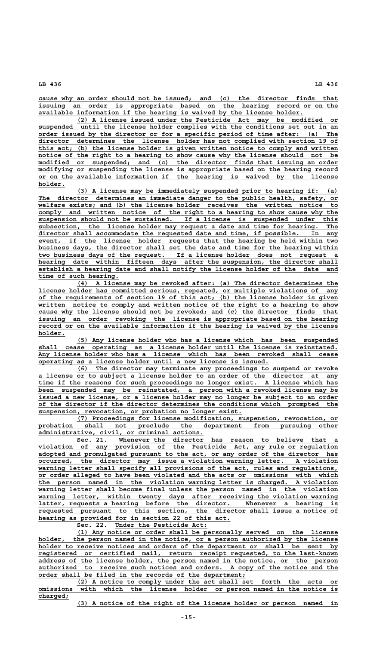**\_\_\_\_\_\_\_\_\_\_\_\_\_\_\_\_\_\_\_\_\_\_\_\_\_\_\_\_\_\_\_\_\_\_\_\_\_\_\_\_\_\_\_\_\_\_\_\_\_\_\_\_\_\_\_\_\_\_\_\_\_\_\_\_\_\_\_\_\_\_\_\_\_\_\_\_\_\_ cause why an order should not be issued; and (c) the director finds that \_\_\_\_\_\_\_\_\_\_\_\_\_\_\_\_\_\_\_\_\_\_\_\_\_\_\_\_\_\_\_\_\_\_\_\_\_\_\_\_\_\_\_\_\_\_\_\_\_\_\_\_\_\_\_\_\_\_\_\_\_\_\_\_\_\_\_\_\_\_\_\_\_\_\_\_\_\_ issuing an order is appropriate based on the hearing record or on the \_\_\_\_\_\_\_\_\_\_\_\_\_\_\_\_\_\_\_\_\_\_\_\_\_\_\_\_\_\_\_\_\_\_\_\_\_\_\_\_\_\_\_\_\_\_\_\_\_\_\_\_\_\_\_\_\_\_\_\_\_\_\_\_\_\_\_\_\_ available information if the hearing is waived by the license holder.**

 **\_\_\_\_\_\_\_\_\_\_\_\_\_\_\_\_\_\_\_\_\_\_\_\_\_\_\_\_\_\_\_\_\_\_\_\_\_\_\_\_\_\_\_\_\_\_\_\_\_\_\_\_\_\_\_\_\_\_\_\_\_\_\_\_\_\_\_\_ (2) A license issued under the Pesticide Act may be modified or \_\_\_\_\_\_\_\_\_\_\_\_\_\_\_\_\_\_\_\_\_\_\_\_\_\_\_\_\_\_\_\_\_\_\_\_\_\_\_\_\_\_\_\_\_\_\_\_\_\_\_\_\_\_\_\_\_\_\_\_\_\_\_\_\_\_\_\_\_\_\_\_\_\_\_\_\_\_ suspended until the license holder complies with the conditions set out in an \_\_\_\_\_\_\_\_\_\_\_\_\_\_\_\_\_\_\_\_\_\_\_\_\_\_\_\_\_\_\_\_\_\_\_\_\_\_\_\_\_\_\_\_\_\_\_\_\_\_\_\_\_\_\_\_\_\_\_\_\_\_\_\_\_\_\_\_\_\_\_\_\_\_\_\_\_\_ order issued by the director or for a specific period of time after: (a) The \_\_\_\_\_\_\_\_\_\_\_\_\_\_\_\_\_\_\_\_\_\_\_\_\_\_\_\_\_\_\_\_\_\_\_\_\_\_\_\_\_\_\_\_\_\_\_\_\_\_\_\_\_\_\_\_\_\_\_\_\_\_\_\_\_\_\_\_\_\_\_\_\_\_\_\_\_\_ director determines the license holder has not complied with section 19 of \_\_\_\_\_\_\_\_\_\_\_\_\_\_\_\_\_\_\_\_\_\_\_\_\_\_\_\_\_\_\_\_\_\_\_\_\_\_\_\_\_\_\_\_\_\_\_\_\_\_\_\_\_\_\_\_\_\_\_\_\_\_\_\_\_\_\_\_\_\_\_\_\_\_\_\_\_\_ this act; (b) the license holder is given written notice to comply and written** notice of the right to a hearing to show cause why the license should not be  **\_\_\_\_\_\_\_\_\_\_\_\_\_\_\_\_\_\_\_\_\_\_\_\_\_\_\_\_\_\_\_\_\_\_\_\_\_\_\_\_\_\_\_\_\_\_\_\_\_\_\_\_\_\_\_\_\_\_\_\_\_\_\_\_\_\_\_\_\_\_\_\_\_\_\_\_\_\_ modified or suspended; and (c) the director finds that issuing an order \_\_\_\_\_\_\_\_\_\_\_\_\_\_\_\_\_\_\_\_\_\_\_\_\_\_\_\_\_\_\_\_\_\_\_\_\_\_\_\_\_\_\_\_\_\_\_\_\_\_\_\_\_\_\_\_\_\_\_\_\_\_\_\_\_\_\_\_\_\_\_\_\_\_\_\_\_\_ modifying or suspending the license is appropriate based on the hearing record \_\_\_\_\_\_\_\_\_\_\_\_\_\_\_\_\_\_\_\_\_\_\_\_\_\_\_\_\_\_\_\_\_\_\_\_\_\_\_\_\_\_\_\_\_\_\_\_\_\_\_\_\_\_\_\_\_\_\_\_\_\_\_\_\_\_\_\_\_\_\_\_\_\_\_\_\_\_ or on the available information if the hearing is waived by the license holder. \_\_\_\_\_\_\_**

 **\_\_\_\_\_\_\_\_\_\_\_\_\_\_\_\_\_\_\_\_\_\_\_\_\_\_\_\_\_\_\_\_\_\_\_\_\_\_\_\_\_\_\_\_\_\_\_\_\_\_\_\_\_\_\_\_\_\_\_\_\_\_\_\_\_\_\_\_ (3) A license may be immediately suspended prior to hearing if: (a) \_\_\_\_\_\_\_\_\_\_\_\_\_\_\_\_\_\_\_\_\_\_\_\_\_\_\_\_\_\_\_\_\_\_\_\_\_\_\_\_\_\_\_\_\_\_\_\_\_\_\_\_\_\_\_\_\_\_\_\_\_\_\_\_\_\_\_\_\_\_\_\_\_\_\_\_\_\_ The director determines an immediate danger to the public health, safety, or \_\_\_\_\_\_\_\_\_\_\_\_\_\_\_\_\_\_\_\_\_\_\_\_\_\_\_\_\_\_\_\_\_\_\_\_\_\_\_\_\_\_\_\_\_\_\_\_\_\_\_\_\_\_\_\_\_\_\_\_\_\_\_\_\_\_\_\_\_\_\_\_\_\_\_\_\_\_ welfare exists; and (b) the license holder receives the written notice to** comply and written notice of the right to a hearing to show cause why the suspension should not be sustained. If a license is suspended under this  **\_\_\_\_\_\_\_\_\_\_\_\_\_\_\_\_\_\_\_\_\_\_\_\_\_\_\_\_\_\_\_\_\_\_\_\_\_\_\_\_\_\_\_\_\_\_\_\_\_\_\_\_\_\_\_\_\_\_\_\_\_\_\_\_\_\_\_\_\_\_\_\_\_\_\_\_\_\_ suspension should not be sustained. If a license is suspended under this \_\_\_\_\_\_\_\_\_\_\_\_\_\_\_\_\_\_\_\_\_\_\_\_\_\_\_\_\_\_\_\_\_\_\_\_\_\_\_\_\_\_\_\_\_\_\_\_\_\_\_\_\_\_\_\_\_\_\_\_\_\_\_\_\_\_\_\_\_\_\_\_\_\_\_\_\_\_ subsection, the license holder may request a date and time for hearing. The \_\_\_\_\_\_\_\_\_\_\_\_\_\_\_\_\_\_\_\_\_\_\_\_\_\_\_\_\_\_\_\_\_\_\_\_\_\_\_\_\_\_\_\_\_\_\_\_\_\_\_\_\_\_\_\_\_\_\_\_\_\_\_\_\_\_\_\_\_\_\_\_\_\_\_\_\_\_ director shall accommodate the requested date and time, if possible. In any \_\_\_\_\_\_\_\_\_\_\_\_\_\_\_\_\_\_\_\_\_\_\_\_\_\_\_\_\_\_\_\_\_\_\_\_\_\_\_\_\_\_\_\_\_\_\_\_\_\_\_\_\_\_\_\_\_\_\_\_\_\_\_\_\_\_\_\_\_\_\_\_\_\_\_\_\_\_ event, if the license holder requests that the hearing be held within two \_\_\_\_\_\_\_\_\_\_\_\_\_\_\_\_\_\_\_\_\_\_\_\_\_\_\_\_\_\_\_\_\_\_\_\_\_\_\_\_\_\_\_\_\_\_\_\_\_\_\_\_\_\_\_\_\_\_\_\_\_\_\_\_\_\_\_\_\_\_\_\_\_\_\_\_\_\_ business days, the director shall set the date and time for the hearing within \_\_\_\_\_\_\_\_\_\_\_\_\_\_\_\_\_\_\_\_\_\_\_\_\_\_\_\_\_\_\_\_\_\_\_\_\_\_\_\_\_\_\_\_\_\_\_\_\_\_\_\_\_\_\_\_\_\_\_\_\_\_\_\_\_\_\_\_\_\_\_\_\_\_\_\_\_\_ two business days of the request. If a license holder does not request a \_\_\_\_\_\_\_\_\_\_\_\_\_\_\_\_\_\_\_\_\_\_\_\_\_\_\_\_\_\_\_\_\_\_\_\_\_\_\_\_\_\_\_\_\_\_\_\_\_\_\_\_\_\_\_\_\_\_\_\_\_\_\_\_\_\_\_\_\_\_\_\_\_\_\_\_\_\_ hearing date within fifteen days after the suspension, the director shall \_\_\_\_\_\_\_\_\_\_\_\_\_\_\_\_\_\_\_\_\_\_\_\_\_\_\_\_\_\_\_\_\_\_\_\_\_\_\_\_\_\_\_\_\_\_\_\_\_\_\_\_\_\_\_\_\_\_\_\_\_\_\_\_\_\_\_\_\_\_\_\_\_\_\_\_\_\_ establish a hearing date and shall notify the license holder of the date and \_\_\_\_\_\_\_\_\_\_\_\_\_\_\_\_\_\_\_\_\_ time of such hearing.**

 **\_\_\_\_\_\_\_\_\_\_\_\_\_\_\_\_\_\_\_\_\_\_\_\_\_\_\_\_\_\_\_\_\_\_\_\_\_\_\_\_\_\_\_\_\_\_\_\_\_\_\_\_\_\_\_\_\_\_\_\_\_\_\_\_\_\_\_\_ (4) A license may be revoked after: (a) The director determines the \_\_\_\_\_\_\_\_\_\_\_\_\_\_\_\_\_\_\_\_\_\_\_\_\_\_\_\_\_\_\_\_\_\_\_\_\_\_\_\_\_\_\_\_\_\_\_\_\_\_\_\_\_\_\_\_\_\_\_\_\_\_\_\_\_\_\_\_\_\_\_\_\_\_\_\_\_\_ license holder has committed serious, repeated, or multiple violations of any \_\_\_\_\_\_\_\_\_\_\_\_\_\_\_\_\_\_\_\_\_\_\_\_\_\_\_\_\_\_\_\_\_\_\_\_\_\_\_\_\_\_\_\_\_\_\_\_\_\_\_\_\_\_\_\_\_\_\_\_\_\_\_\_\_\_\_\_\_\_\_\_\_\_\_\_\_\_ of the requirements of section 19 of this act; (b) the license holder is given \_\_\_\_\_\_\_\_\_\_\_\_\_\_\_\_\_\_\_\_\_\_\_\_\_\_\_\_\_\_\_\_\_\_\_\_\_\_\_\_\_\_\_\_\_\_\_\_\_\_\_\_\_\_\_\_\_\_\_\_\_\_\_\_\_\_\_\_\_\_\_\_\_\_\_\_\_\_ written notice to comply and written notice of the right to a hearing to show** cause why the license should not be revoked; and (c) the director finds that  **\_\_\_\_\_\_\_\_\_\_\_\_\_\_\_\_\_\_\_\_\_\_\_\_\_\_\_\_\_\_\_\_\_\_\_\_\_\_\_\_\_\_\_\_\_\_\_\_\_\_\_\_\_\_\_\_\_\_\_\_\_\_\_\_\_\_\_\_\_\_\_\_\_\_\_\_\_\_ issuing an order revoking the license is appropriate based on the hearing \_\_\_\_\_\_\_\_\_\_\_\_\_\_\_\_\_\_\_\_\_\_\_\_\_\_\_\_\_\_\_\_\_\_\_\_\_\_\_\_\_\_\_\_\_\_\_\_\_\_\_\_\_\_\_\_\_\_\_\_\_\_\_\_\_\_\_\_\_\_\_\_\_\_\_\_\_\_ record or on the available information if the hearing is waived by the license**  $\overline{\text{holder}}$ .

> **\_\_\_\_\_\_\_\_\_\_\_\_\_\_\_\_\_\_\_\_\_\_\_\_\_\_\_\_\_\_\_\_\_\_\_\_\_\_\_\_\_\_\_\_\_\_\_\_\_\_\_\_\_\_\_\_\_\_\_\_\_\_\_\_\_\_\_\_ (5) Any license holder who has a license which has been suspended \_\_\_\_\_\_\_\_\_\_\_\_\_\_\_\_\_\_\_\_\_\_\_\_\_\_\_\_\_\_\_\_\_\_\_\_\_\_\_\_\_\_\_\_\_\_\_\_\_\_\_\_\_\_\_\_\_\_\_\_\_\_\_\_\_\_\_\_\_\_\_\_\_\_\_\_\_\_ shall cease operating as a license holder until the license is reinstated.** Any license holder who has a license which has been revoked shall cease  **\_\_\_\_\_\_\_\_\_\_\_\_\_\_\_\_\_\_\_\_\_\_\_\_\_\_\_\_\_\_\_\_\_\_\_\_\_\_\_\_\_\_\_\_\_\_\_\_\_\_\_\_\_\_\_\_\_\_\_\_ operating as a license holder until a new license is issued.**

> **\_\_\_\_\_\_\_\_\_\_\_\_\_\_\_\_\_\_\_\_\_\_\_\_\_\_\_\_\_\_\_\_\_\_\_\_\_\_\_\_\_\_\_\_\_\_\_\_\_\_\_\_\_\_\_\_\_\_\_\_\_\_\_\_\_\_\_\_ (6) The director may terminate any proceedings to suspend or revoke \_\_\_\_\_\_\_\_\_\_\_\_\_\_\_\_\_\_\_\_\_\_\_\_\_\_\_\_\_\_\_\_\_\_\_\_\_\_\_\_\_\_\_\_\_\_\_\_\_\_\_\_\_\_\_\_\_\_\_\_\_\_\_\_\_\_\_\_\_\_\_\_\_\_\_\_\_\_ a license or to subject a license holder to an order of the director at any \_\_\_\_\_\_\_\_\_\_\_\_\_\_\_\_\_\_\_\_\_\_\_\_\_\_\_\_\_\_\_\_\_\_\_\_\_\_\_\_\_\_\_\_\_\_\_\_\_\_\_\_\_\_\_\_\_\_\_\_\_\_\_\_\_\_\_\_\_\_\_\_\_\_\_\_\_\_ time if the reasons for such proceedings no longer exist. A license which has \_\_\_\_\_\_\_\_\_\_\_\_\_\_\_\_\_\_\_\_\_\_\_\_\_\_\_\_\_\_\_\_\_\_\_\_\_\_\_\_\_\_\_\_\_\_\_\_\_\_\_\_\_\_\_\_\_\_\_\_\_\_\_\_\_\_\_\_\_\_\_\_\_\_\_\_\_\_ been suspended may be reinstated, a person with a revoked license may be issued a new license, or a license holder may no longer be subject to an order \_\_\_\_\_\_\_\_\_\_\_\_\_\_\_\_\_\_\_\_\_\_\_\_\_\_\_\_\_\_\_\_\_\_\_\_\_\_\_\_\_\_\_\_\_\_\_\_\_\_\_\_\_\_\_\_\_\_\_\_\_\_\_\_\_\_\_\_\_\_\_\_\_\_\_\_\_\_ of the director if the director determines the conditions which prompted the \_\_\_\_\_\_\_\_\_\_\_\_\_\_\_\_\_\_\_\_\_\_\_\_\_\_\_\_\_\_\_\_\_\_\_\_\_\_\_\_\_\_\_\_\_\_\_\_\_\_\_\_\_ suspension, revocation, or probation no longer exist.**

 **\_\_\_\_\_\_\_\_\_\_\_\_\_\_\_\_\_\_\_\_\_\_\_\_\_\_\_\_\_\_\_\_\_\_\_\_\_\_\_\_\_\_\_\_\_\_\_\_\_\_\_\_\_\_\_\_\_\_\_\_\_\_\_\_\_\_\_\_ (7) Proceedings for license modification, suspension, revocation, or \_\_\_\_\_\_\_\_\_\_\_\_\_\_\_\_\_\_\_\_\_\_\_\_\_\_\_\_\_\_\_\_\_\_\_\_\_\_\_\_\_\_\_\_\_\_\_\_\_\_\_\_\_\_\_\_\_\_\_\_\_\_\_\_\_\_\_\_\_\_\_\_\_\_\_\_\_\_ probation shall not preclude the department from pursuing other \_\_\_\_\_\_\_\_\_\_\_\_\_\_\_\_\_\_\_\_\_\_\_\_\_\_\_\_\_\_\_\_\_\_\_\_\_\_\_\_\_\_\_ administrative, civil, or criminal actions.**

 **\_\_\_\_\_\_\_\_\_\_\_\_\_\_\_\_\_\_\_\_\_\_\_\_\_\_\_\_\_\_\_\_\_\_\_\_\_\_\_\_\_\_\_\_\_\_\_\_\_\_\_\_\_\_\_\_\_ Sec. 21. Whenever the director has reason to believe that a \_\_\_\_\_\_\_\_\_\_\_\_\_\_\_\_\_\_\_\_\_\_\_\_\_\_\_\_\_\_\_\_\_\_\_\_\_\_\_\_\_\_\_\_\_\_\_\_\_\_\_\_\_\_\_\_\_\_\_\_\_\_\_\_\_\_\_\_\_\_\_\_\_\_\_\_\_\_ violation of any provision of the Pesticide Act, any rule or regulation \_\_\_\_\_\_\_\_\_\_\_\_\_\_\_\_\_\_\_\_\_\_\_\_\_\_\_\_\_\_\_\_\_\_\_\_\_\_\_\_\_\_\_\_\_\_\_\_\_\_\_\_\_\_\_\_\_\_\_\_\_\_\_\_\_\_\_\_\_\_\_\_\_\_\_\_\_\_ adopted and promulgated pursuant to the act, or any order of the director has \_\_\_\_\_\_\_\_\_\_\_\_\_\_\_\_\_\_\_\_\_\_\_\_\_\_\_\_\_\_\_\_\_\_\_\_\_\_\_\_\_\_\_\_\_\_\_\_\_\_\_\_\_\_\_\_\_\_\_\_\_\_\_\_\_\_\_\_\_\_\_\_\_\_\_\_\_\_ occurred, the director may issue a violation warning letter. A violation \_\_\_\_\_\_\_\_\_\_\_\_\_\_\_\_\_\_\_\_\_\_\_\_\_\_\_\_\_\_\_\_\_\_\_\_\_\_\_\_\_\_\_\_\_\_\_\_\_\_\_\_\_\_\_\_\_\_\_\_\_\_\_\_\_\_\_\_\_\_\_\_\_\_\_\_\_\_ warning letter shall specify all provisions of the act, rules and regulations, \_\_\_\_\_\_\_\_\_\_\_\_\_\_\_\_\_\_\_\_\_\_\_\_\_\_\_\_\_\_\_\_\_\_\_\_\_\_\_\_\_\_\_\_\_\_\_\_\_\_\_\_\_\_\_\_\_\_\_\_\_\_\_\_\_\_\_\_\_\_\_\_\_\_\_\_\_\_ or order alleged to have been violated and the acts or omissions with which \_\_\_\_\_\_\_\_\_\_\_\_\_\_\_\_\_\_\_\_\_\_\_\_\_\_\_\_\_\_\_\_\_\_\_\_\_\_\_\_\_\_\_\_\_\_\_\_\_\_\_\_\_\_\_\_\_\_\_\_\_\_\_\_\_\_\_\_\_\_\_\_\_\_\_\_\_\_ the person named in the violation warning letter is charged. A violation \_\_\_\_\_\_\_\_\_\_\_\_\_\_\_\_\_\_\_\_\_\_\_\_\_\_\_\_\_\_\_\_\_\_\_\_\_\_\_\_\_\_\_\_\_\_\_\_\_\_\_\_\_\_\_\_\_\_\_\_\_\_\_\_\_\_\_\_\_\_\_\_\_\_\_\_\_\_ warning letter shall become final unless the person named in the violation** warning letter, within twenty days after receiving the violation warning  $\overline{\text{latter, requests a hearing before the director.}$  Whenever a hearing is  **\_\_\_\_\_\_\_\_\_\_\_\_\_\_\_\_\_\_\_\_\_\_\_\_\_\_\_\_\_\_\_\_\_\_\_\_\_\_\_\_\_\_\_\_\_\_\_\_\_\_\_\_\_\_\_\_\_\_\_\_\_\_\_\_\_\_\_\_\_\_\_\_\_\_\_\_\_\_ requested pursuant to this section, the director shall issue a notice of \_\_\_\_\_\_\_\_\_\_\_\_\_\_\_\_\_\_\_\_\_\_\_\_\_\_\_\_\_\_\_\_\_\_\_\_\_\_\_\_\_\_\_\_\_\_\_\_\_\_ hearing as provided for in section 22 of this act.**

 **\_\_\_\_\_\_\_\_\_\_\_\_\_\_\_\_\_\_\_\_\_\_\_\_ Sec. 22. Under the Pesticide Act:**

 **\_\_\_\_\_\_\_\_\_\_\_\_\_\_\_\_\_\_\_\_\_\_\_\_\_\_\_\_\_\_\_\_\_\_\_\_\_\_\_\_\_\_\_\_\_\_\_\_\_\_\_\_\_\_\_\_\_\_\_\_\_\_\_\_\_\_\_\_ (1) Any notice or order shall be personally served on the license \_\_\_\_\_\_\_\_\_\_\_\_\_\_\_\_\_\_\_\_\_\_\_\_\_\_\_\_\_\_\_\_\_\_\_\_\_\_\_\_\_\_\_\_\_\_\_\_\_\_\_\_\_\_\_\_\_\_\_\_\_\_\_\_\_\_\_\_\_\_\_\_\_\_\_\_\_\_ holder, the person named in the notice, or a person authorized by the license \_\_\_\_\_\_\_\_\_\_\_\_\_\_\_\_\_\_\_\_\_\_\_\_\_\_\_\_\_\_\_\_\_\_\_\_\_\_\_\_\_\_\_\_\_\_\_\_\_\_\_\_\_\_\_\_\_\_\_\_\_\_\_\_\_\_\_\_\_\_\_\_\_\_\_\_\_\_ holder to receive notices and orders of the department or shall be sent by \_\_\_\_\_\_\_\_\_\_\_\_\_\_\_\_\_\_\_\_\_\_\_\_\_\_\_\_\_\_\_\_\_\_\_\_\_\_\_\_\_\_\_\_\_\_\_\_\_\_\_\_\_\_\_\_\_\_\_\_\_\_\_\_\_\_\_\_\_\_\_\_\_\_\_\_\_\_ registered or certified mail, return receipt requested, to the last-known \_\_\_\_\_\_\_\_\_\_\_\_\_\_\_\_\_\_\_\_\_\_\_\_\_\_\_\_\_\_\_\_\_\_\_\_\_\_\_\_\_\_\_\_\_\_\_\_\_\_\_\_\_\_\_\_\_\_\_\_\_\_\_\_\_\_\_\_\_\_\_\_\_\_\_\_\_\_ address of the license holder, the person named in the notice, or the person \_\_\_\_\_\_\_\_\_\_\_\_\_\_\_\_\_\_\_\_\_\_\_\_\_\_\_\_\_\_\_\_\_\_\_\_\_\_\_\_\_\_\_\_\_\_\_\_\_\_\_\_\_\_\_\_\_\_\_\_\_\_\_\_\_\_\_\_\_\_\_\_\_\_\_\_\_\_ authorized to receive such notices and orders. A copy of the notice and the \_\_\_\_\_\_\_\_\_\_\_\_\_\_\_\_\_\_\_\_\_\_\_\_\_\_\_\_\_\_\_\_\_\_\_\_\_\_\_\_\_\_\_\_\_\_\_\_\_\_\_\_\_\_ order shall be filed in the records of the department;**

 **\_\_\_\_\_\_\_\_\_\_\_\_\_\_\_\_\_\_\_\_\_\_\_\_\_\_\_\_\_\_\_\_\_\_\_\_\_\_\_\_\_\_\_\_\_\_\_\_\_\_\_\_\_\_\_\_\_\_\_\_\_\_\_\_\_\_\_\_ (2) A notice to comply under the act shall set forth the acts or \_\_\_\_\_\_\_\_\_\_\_\_\_\_\_\_\_\_\_\_\_\_\_\_\_\_\_\_\_\_\_\_\_\_\_\_\_\_\_\_\_\_\_\_\_\_\_\_\_\_\_\_\_\_\_\_\_\_\_\_\_\_\_\_\_\_\_\_\_\_\_\_\_\_\_\_\_\_ omissions with which the license holder or person named in the notice is charged; \_\_\_\_\_\_\_\_**

 **\_\_\_\_\_\_\_\_\_\_\_\_\_\_\_\_\_\_\_\_\_\_\_\_\_\_\_\_\_\_\_\_\_\_\_\_\_\_\_\_\_\_\_\_\_\_\_\_\_\_\_\_\_\_\_\_\_\_\_\_\_\_\_\_\_\_\_\_ (3) A notice of the right of the license holder or person named in**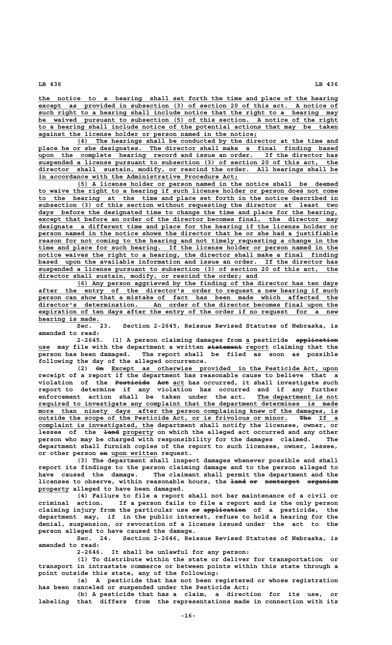**\_\_\_\_\_\_\_\_\_\_\_\_\_\_\_\_\_\_\_\_\_\_\_\_\_\_\_\_\_\_\_\_\_\_\_\_\_\_\_\_\_\_\_\_\_\_\_\_\_\_\_\_\_\_\_\_\_\_\_\_\_\_\_\_\_\_\_\_\_\_\_\_\_\_\_\_\_\_ the notice to a hearing shall set forth the time and place of the hearing \_\_\_\_\_\_\_\_\_\_\_\_\_\_\_\_\_\_\_\_\_\_\_\_\_\_\_\_\_\_\_\_\_\_\_\_\_\_\_\_\_\_\_\_\_\_\_\_\_\_\_\_\_\_\_\_\_\_\_\_\_\_\_\_\_\_\_\_\_\_\_\_\_\_\_\_\_\_ except as provided in subsection (3) of section 20 of this act. A notice of**  $\frac{1}{2}$  such right to a hearing shall include notice that the right to a hearing may  **\_\_\_\_\_\_\_\_\_\_\_\_\_\_\_\_\_\_\_\_\_\_\_\_\_\_\_\_\_\_\_\_\_\_\_\_\_\_\_\_\_\_\_\_\_\_\_\_\_\_\_\_\_\_\_\_\_\_\_\_\_\_\_\_\_\_\_\_\_\_\_\_\_\_\_\_\_\_ be waived pursuant to subsection (5) of this section. A notice of the right \_\_\_\_\_\_\_\_\_\_\_\_\_\_\_\_\_\_\_\_\_\_\_\_\_\_\_\_\_\_\_\_\_\_\_\_\_\_\_\_\_\_\_\_\_\_\_\_\_\_\_\_\_\_\_\_\_\_\_\_\_\_\_\_\_\_\_\_\_\_\_\_\_\_\_\_\_\_ to a hearing shall include notice of the potential actions that may be taken \_\_\_\_\_\_\_\_\_\_\_\_\_\_\_\_\_\_\_\_\_\_\_\_\_\_\_\_\_\_\_\_\_\_\_\_\_\_\_\_\_\_\_\_\_\_\_\_\_\_\_\_\_\_\_\_\_ against the license holder or person named in the notice;**

 **\_\_\_\_\_\_\_\_\_\_\_\_\_\_\_\_\_\_\_\_\_\_\_\_\_\_\_\_\_\_\_\_\_\_\_\_\_\_\_\_\_\_\_\_\_\_\_\_\_\_\_\_\_\_\_\_\_\_\_\_\_\_\_\_\_\_\_\_ (4) The hearings shall be conducted by the director at the time and \_\_\_\_\_\_\_\_\_\_\_\_\_\_\_\_\_\_\_\_\_\_\_\_\_\_\_\_\_\_\_\_\_\_\_\_\_\_\_\_\_\_\_\_\_\_\_\_\_\_\_\_\_\_\_\_\_\_\_\_\_\_\_\_\_\_\_\_\_\_\_\_\_\_\_\_\_\_ place he or she designates. The director shall make a final finding based \_\_\_\_\_\_\_\_\_\_\_\_\_\_\_\_\_\_\_\_\_\_\_\_\_\_\_\_\_\_\_\_\_\_\_\_\_\_\_\_\_\_\_\_\_\_\_\_\_\_\_\_\_\_\_\_\_\_\_\_\_\_\_\_\_\_\_\_\_\_\_\_\_\_\_\_\_\_ upon the complete hearing record and issue an order. If the director has \_\_\_\_\_\_\_\_\_\_\_\_\_\_\_\_\_\_\_\_\_\_\_\_\_\_\_\_\_\_\_\_\_\_\_\_\_\_\_\_\_\_\_\_\_\_\_\_\_\_\_\_\_\_\_\_\_\_\_\_\_\_\_\_\_\_\_\_\_\_\_\_\_\_\_\_\_\_ suspended a license pursuant to subsection (3) of section 20 of this act, the \_\_\_\_\_\_\_\_\_\_\_\_\_\_\_\_\_\_\_\_\_\_\_\_\_\_\_\_\_\_\_\_\_\_\_\_\_\_\_\_\_\_\_\_\_\_\_\_\_\_\_\_\_\_\_\_\_\_\_\_\_\_\_\_\_\_\_\_\_\_\_\_\_\_\_\_\_\_ director shall sustain, modify, or rescind the order. All hearings shall be \_\_\_\_\_\_\_\_\_\_\_\_\_\_\_\_\_\_\_\_\_\_\_\_\_\_\_\_\_\_\_\_\_\_\_\_\_\_\_\_\_\_\_\_\_\_\_\_\_\_\_\_ in accordance with the Administrative Procedure Act;**

 **\_\_\_\_\_\_\_\_\_\_\_\_\_\_\_\_\_\_\_\_\_\_\_\_\_\_\_\_\_\_\_\_\_\_\_\_\_\_\_\_\_\_\_\_\_\_\_\_\_\_\_\_\_\_\_\_\_\_\_\_\_\_\_\_\_\_\_\_ (5) A license holder or person named in the notice shall be deemed** to waive the right to a hearing if such license holder or person does not come  **\_\_\_\_\_\_\_\_\_\_\_\_\_\_\_\_\_\_\_\_\_\_\_\_\_\_\_\_\_\_\_\_\_\_\_\_\_\_\_\_\_\_\_\_\_\_\_\_\_\_\_\_\_\_\_\_\_\_\_\_\_\_\_\_\_\_\_\_\_\_\_\_\_\_\_\_\_\_ to the hearing at the time and place set forth in the notice described in \_\_\_\_\_\_\_\_\_\_\_\_\_\_\_\_\_\_\_\_\_\_\_\_\_\_\_\_\_\_\_\_\_\_\_\_\_\_\_\_\_\_\_\_\_\_\_\_\_\_\_\_\_\_\_\_\_\_\_\_\_\_\_\_\_\_\_\_\_\_\_\_\_\_\_\_\_\_ subsection (3) of this section without requesting the director at least two** days before the designated time to change the time and place for the hearing,  **\_\_\_\_\_\_\_\_\_\_\_\_\_\_\_\_\_\_\_\_\_\_\_\_\_\_\_\_\_\_\_\_\_\_\_\_\_\_\_\_\_\_\_\_\_\_\_\_\_\_\_\_\_\_\_\_\_\_\_\_\_\_\_\_\_\_\_\_\_\_\_\_\_\_\_\_\_\_ except that before an order of the director becomes final, the director may \_\_\_\_\_\_\_\_\_\_\_\_\_\_\_\_\_\_\_\_\_\_\_\_\_\_\_\_\_\_\_\_\_\_\_\_\_\_\_\_\_\_\_\_\_\_\_\_\_\_\_\_\_\_\_\_\_\_\_\_\_\_\_\_\_\_\_\_\_\_\_\_\_\_\_\_\_\_ designate a different time and place for the hearing if the license holder or** person named in the notice shows the director that he or she had a justifiable  **\_\_\_\_\_\_\_\_\_\_\_\_\_\_\_\_\_\_\_\_\_\_\_\_\_\_\_\_\_\_\_\_\_\_\_\_\_\_\_\_\_\_\_\_\_\_\_\_\_\_\_\_\_\_\_\_\_\_\_\_\_\_\_\_\_\_\_\_\_\_\_\_\_\_\_\_\_\_ reason for not coming to the hearing and not timely requesting a change in the \_\_\_\_\_\_\_\_\_\_\_\_\_\_\_\_\_\_\_\_\_\_\_\_\_\_\_\_\_\_\_\_\_\_\_\_\_\_\_\_\_\_\_\_\_\_\_\_\_\_\_\_\_\_\_\_\_\_\_\_\_\_\_\_\_\_\_\_\_\_\_\_\_\_\_\_\_\_ time and place for such hearing. If the license holder or person named in the \_\_\_\_\_\_\_\_\_\_\_\_\_\_\_\_\_\_\_\_\_\_\_\_\_\_\_\_\_\_\_\_\_\_\_\_\_\_\_\_\_\_\_\_\_\_\_\_\_\_\_\_\_\_\_\_\_\_\_\_\_\_\_\_\_\_\_\_\_\_\_\_\_\_\_\_\_\_ notice waives the right to a hearing, the director shall make a final finding \_\_\_\_\_\_\_\_\_\_\_\_\_\_\_\_\_\_\_\_\_\_\_\_\_\_\_\_\_\_\_\_\_\_\_\_\_\_\_\_\_\_\_\_\_\_\_\_\_\_\_\_\_\_\_\_\_\_\_\_\_\_\_\_\_\_\_\_\_\_\_\_\_\_\_\_\_\_ based upon the available information and issue an order. If the director has \_\_\_\_\_\_\_\_\_\_\_\_\_\_\_\_\_\_\_\_\_\_\_\_\_\_\_\_\_\_\_\_\_\_\_\_\_\_\_\_\_\_\_\_\_\_\_\_\_\_\_\_\_\_\_\_\_\_\_\_\_\_\_\_\_\_\_\_\_\_\_\_\_\_\_\_\_\_ suspended a license pursuant to subsection (3) of section 20 of this act, the**  $\frac{discrete}{in}$  shall sustain, modify, or rescind the order; and

 **\_\_\_\_\_\_\_\_\_\_\_\_\_\_\_\_\_\_\_\_\_\_\_\_\_\_\_\_\_\_\_\_\_\_\_\_\_\_\_\_\_\_\_\_\_\_\_\_\_\_\_\_\_\_\_\_\_\_\_\_\_\_\_\_\_\_\_\_ (6) Any person aggrieved by the finding of the director has ten days \_\_\_\_\_\_\_\_\_\_\_\_\_\_\_\_\_\_\_\_\_\_\_\_\_\_\_\_\_\_\_\_\_\_\_\_\_\_\_\_\_\_\_\_\_\_\_\_\_\_\_\_\_\_\_\_\_\_\_\_\_\_\_\_\_\_\_\_\_\_\_\_\_\_\_\_\_\_ after the entry of the director's order to request a new hearing if such** person can show that a mistake of fact has been made which affected the  **\_\_\_\_\_\_\_\_\_\_\_\_\_\_\_\_\_\_\_\_\_\_\_\_\_\_\_\_\_\_\_\_\_\_\_\_\_\_\_\_\_\_\_\_\_\_\_\_\_\_\_\_\_\_\_\_\_\_\_\_\_\_\_\_\_\_\_\_\_\_\_\_\_\_\_\_\_\_ director's determination. An order of the director becomes final upon the \_\_\_\_\_\_\_\_\_\_\_\_\_\_\_\_\_\_\_\_\_\_\_\_\_\_\_\_\_\_\_\_\_\_\_\_\_\_\_\_\_\_\_\_\_\_\_\_\_\_\_\_\_\_\_\_\_\_\_\_\_\_\_\_\_\_\_\_\_\_\_\_\_\_\_\_\_\_ expiration of ten days after the entry of the order if no request for a new \_\_\_\_\_\_\_\_\_\_\_\_\_\_\_\_ hearing is made.**

**Sec. 23. Section 2-2645, Reissue Revised Statutes of Nebraska, is amended to read:**

2-2645. (1) A person claiming damages from a pesticide application  **\_\_\_ ————————— \_\_\_\_\_\_ use may file with the department a written statement report claiming that the person has been damaged. The report shall be filed as soon as possible following the day of the alleged occurrence.**

 **—— \_\_\_\_\_\_\_\_\_\_\_\_\_\_\_\_\_\_\_\_\_\_\_\_\_\_\_\_\_\_\_\_\_\_\_\_\_\_\_\_\_\_\_\_\_\_\_\_\_\_\_\_\_\_\_\_\_\_\_ (2) On Except as otherwise provided in the Pesticide Act, upon receipt of a report if the department has reasonable cause to believe that a ————————— ——— \_\_\_ violation of the Pesticide Act act has occurred, it shall investigate such report to determine if any violation has occurred and if any further enforcement action shall be taken under the act. The department is not \_\_\_\_\_\_\_\_\_\_\_\_\_\_\_\_\_\_\_\_\_ \_\_\_\_\_\_\_\_\_\_\_\_\_\_\_\_\_\_\_\_\_\_\_\_\_\_\_\_\_\_\_\_\_\_\_\_\_\_\_\_\_\_\_\_\_\_\_\_\_\_\_\_\_\_\_\_\_\_\_\_\_\_\_\_\_\_\_\_\_\_\_\_\_\_\_\_\_\_ required to investigate any complaint that the department determines is made** more than ninety days after the person complaining knew of the damages, is  **\_\_\_\_\_\_\_\_\_\_\_\_\_\_\_\_\_\_\_\_\_\_\_\_\_\_\_\_\_\_\_\_\_\_\_\_\_\_\_\_\_\_\_\_\_\_\_\_\_\_\_\_\_\_\_\_\_\_\_\_\_\_\_\_\_ ——— \_\_\_\_\_ outside the scope of the Pesticide Act, or is frivolous or minor. The If a \_\_\_\_\_\_\_\_\_\_\_\_\_\_\_\_\_\_\_\_\_\_\_\_\_\_\_\_\_\_ complaint is investigated, the department shall notify the licensee, owner, or** lessee of the <del>land</del> property on which the alleged act occurred and any other **person who may be charged with responsibility for the damages claimed. The department shall furnish copies of the report to such licensee, owner, lessee,** or other person on upon written request.

**(3) The department shall inspect damages whenever possible and shall report its findings to the person claiming damage and to the person alleged to have caused the damage. The claimant shall permit the department and the** licensee to observe, within reasonable hours, the land or nontarget organism  **\_\_\_\_\_\_\_\_ property alleged to have been damaged.**

**(4) Failure to file a report shall not bar maintenance of a civil or criminal action. If a person fails to file a report and is the only person —— ——————————— claiming injury from the particular use or application of a pesticide, the department may, if in the public interest, refuse to hold a hearing for the denial, suspension, or revocation of a license issued under the act to the person alleged to have caused the damage.**

**Sec. 24. Section 2-2646, Reissue Revised Statutes of Nebraska, is amended to read:**

**2-2646. It shall be unlawful for any person:**

**(1) To distribute within the state or deliver for transportation or transport in intrastate commerce or between points within this state through a point outside this state, any of the following:**

**(a) A pesticide that has not been registered or whose registration has been canceled or suspended under the Pesticide Act;**

**(b) A pesticide that has a claim, a direction for its use, or labeling that differs from the representations made in connection with its**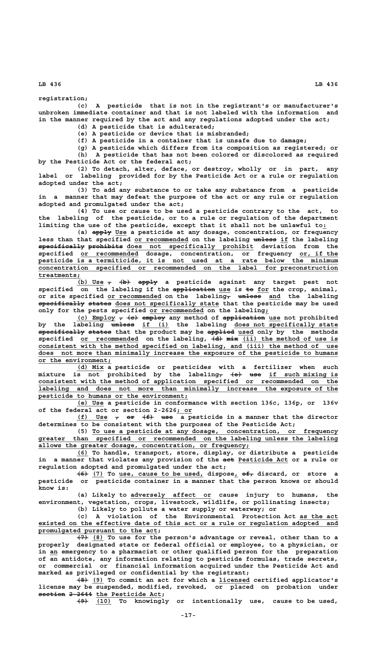**registration;**

**(c) A pesticide that is not in the registrant's or manufacturer's unbroken immediate container and that is not labeled with the information and in the manner required by the act and any regulations adopted under the act;**

**(d) A pesticide that is adulterated;**

**(e) A pesticide or device that is misbranded;**

**(f) A pesticide in a container that is unsafe due to damage;**

**(g) A pesticide which differs from its composition as registered; or (h) A pesticide that has not been colored or discolored as required by the Pesticide Act or the federal act;**

**(2) To detach, alter, deface, or destroy, wholly or in part, any label or labeling provided for by the Pesticide Act or a rule or regulation adopted under the act;**

**(3) To add any substance to or take any substance from a pesticide in a manner that may defeat the purpose of the act or any rule or regulation adopted and promulgated under the act;**

**(4) To use or cause to be used a pesticide contrary to the act, to the labeling of the pesticide, or to a rule or regulation of the department limiting the use of the pesticide, except that it shall not be unlawful to:\_**

 **————— \_\_\_ (a) apply Use a pesticide at any dosage, concentration, or frequency** less than that specified or recommended on the labeling <del>unless</del> if the labeling **specifically prohibits does not specifically prohibit deviation from the ———————————— ————————— \_\_\_\_\_\_\_\_\_\_\_\_\_\_\_\_\_\_\_\_\_\_\_\_\_\_\_\_\_\_\_\_\_ \_\_\_\_\_\_\_\_\_\_\_\_\_\_\_ \_\_\_\_\_\_\_\_\_\_ specified or recommended dosage, concentration, or frequency or, if the \_\_\_\_\_\_\_\_\_\_\_\_\_\_\_\_\_\_\_\_\_\_\_\_\_\_\_\_\_\_\_\_\_\_\_\_\_\_\_\_\_\_\_\_\_\_\_\_\_\_\_\_\_\_\_\_\_\_\_\_\_\_\_\_\_\_\_\_\_\_\_\_\_\_\_\_\_\_ pesticide is a termiticide, it is not used at a rate below the minimum \_\_\_\_\_\_\_\_\_\_\_\_\_\_\_\_\_\_\_\_\_\_\_\_\_\_\_\_\_\_\_\_\_\_\_\_\_\_\_\_\_\_\_\_\_\_\_\_\_\_\_\_\_\_\_\_\_\_\_\_\_\_\_\_\_\_\_\_\_\_\_\_\_\_\_\_\_\_ concentration specified or recommended on the label for preconstruction treatments; \_\_\_\_\_\_\_\_\_\_\_**

(b) Use  $\tau$   $\leftarrow$   $\leftarrow$   $\leftarrow$   $\leftarrow$   $\leftarrow$   $\leftarrow$   $\leftarrow$   $\leftarrow$   $\leftarrow$   $\leftarrow$   $\leftarrow$   $\leftarrow$   $\leftarrow$   $\leftarrow$   $\leftarrow$   $\leftarrow$   $\leftarrow$   $\leftarrow$   $\leftarrow$   $\leftarrow$   $\leftarrow$   $\leftarrow$   $\leftarrow$   $\leftarrow$   $\leftarrow$   $\leftarrow$   $\leftarrow$   $\leftarrow$   $\leftarrow$   $\leftarrow$   $\leftarrow$   $\leftarrow$   $\leftarrow$   $\leftarrow$   $\leftarrow$  **——————————— \_\_\_ —— \_\_\_ specified on the labeling if the application use is to for the crop, animal,** or site specified or recommended on the labeling<sub>7</sub> unless and the labeling  $\overline{\text{specifically states}}$  are  $\overline{\text{de}}$  and  $\overline{\text{e}}$  and  $\overline{\text{specifically states}}$  that the pesticide may be used only for the pests specified or recommended on the labeling<sub>i</sub>

 $(c)$  Employ  $\tau$   $\leftarrow$   $\leftarrow$  employ any method of application use not prohibited by the labeling unless if (i) the labeling does not specifically state  **———————————— —————— ——————— \_\_\_\_ specifically states that the product may be applied used only by the methods** specified or recommended on the labeling,  $\left\{\frac{d}{dt}\right\}$  mix (ii) the method of use is consistent with the method specified on labeling, and (iii) the method of use  **\_\_\_\_\_\_\_\_\_\_\_\_\_\_\_\_\_\_\_\_\_\_\_\_\_\_\_\_\_\_\_\_\_\_\_\_\_\_\_\_\_\_\_\_\_\_\_\_\_\_\_\_\_\_\_\_\_\_\_\_\_\_\_\_\_\_\_\_\_\_\_\_\_\_\_\_\_\_ does not more than minimally increase the exposure of the pesticide to humans \_\_\_\_\_\_\_\_\_\_\_\_\_\_\_\_\_\_\_ or the environment;**

 **\_\_\_\_\_\_\_ (d) Mix a pesticide or pesticides with a fertilizer when such**  $\texttt{mixture is not prohibited by the labeling_\tau~\{\textcolor{red}{\epsilon}\}} \text{~use} \text{~is which} \text{~is}$  **\_\_\_\_\_\_\_\_\_\_\_\_\_\_\_\_\_\_\_\_\_\_\_\_\_\_\_\_\_\_\_\_\_\_\_\_\_\_\_\_\_\_\_\_\_\_\_\_\_\_\_\_\_\_\_\_\_\_\_\_\_\_\_\_\_\_\_\_\_\_\_\_\_\_\_\_\_\_ consistent with the method of application specified or recommended on the**  $labeleding$  and does not more than minimally increase the exposure of the  **\_\_\_\_\_\_\_\_\_\_\_\_\_\_\_\_\_\_\_\_\_\_\_\_\_\_\_\_\_\_\_\_\_\_\_\_\_\_\_ pesticide to humans or the environment;**

 **\_\_\_\_\_\_\_ (e) Use a pesticide in conformance with section 136c, 136p, or 136v \_\_\_\_ of the federal act or section 2-2626; or**

> (f) Use  $\tau$   $\leftrightarrow$   $\leftarrow$   $\leftarrow$   $\leftarrow$   $\bullet$   $\bullet$   $\leftarrow$  a pesticide in a manner that the director **determines to be consistent with the purposes of the Pesticide Act;**

 **\_\_\_\_\_\_\_\_\_\_\_\_\_\_\_\_\_\_\_\_\_\_\_\_\_\_\_\_\_\_\_\_\_\_\_\_\_\_\_\_\_\_\_\_\_\_\_\_\_\_\_\_\_\_\_\_\_\_\_\_\_\_\_\_ (5) To use a pesticide at any dosage, concentration, or frequency \_\_\_\_\_\_\_\_\_\_\_\_\_\_\_\_\_\_\_\_\_\_\_\_\_\_\_\_\_\_\_\_\_\_\_\_\_\_\_\_\_\_\_\_\_\_\_\_\_\_\_\_\_\_\_\_\_\_\_\_\_\_\_\_\_\_\_\_\_\_\_\_\_\_\_\_\_\_ greater than specified or recommended on the labeling unless the labeling \_\_\_\_\_\_\_\_\_\_\_\_\_\_\_\_\_\_\_\_\_\_\_\_\_\_\_\_\_\_\_\_\_\_\_\_\_\_\_\_\_\_\_\_\_\_\_\_\_\_\_\_\_\_\_ allows the greater dosage, concentration, or frequency;**

 **\_\_\_ (6) To handle, transport, store, display, or distribute a pesticide** in a manner that violates any provision of the aet Pesticide Act or a rule or **regulation adopted and promulgated under the act;**

 **——— \_\_\_ \_\_\_\_\_\_\_\_\_\_\_\_\_\_\_\_\_\_\_\_\_\_ \_ ——— (6) (7) To use, cause to be used, dispose, of, discard, or store a pesticide or pesticide container in a manner that the person knows or should know is:**

 **\_\_\_\_\_\_\_\_\_\_\_\_\_\_\_\_\_\_\_\_\_ (a) Likely to adversely affect or cause injury to humans, the environment, vegetation, crops, livestock, wildlife, or pollinating insects;**

**(b) Likely to pollute a water supply or waterway; or**

**(c) A violation of the Environmental Protection Act as the act \_\_\_\_\_\_\_\_\_\_ \_\_\_\_\_\_\_\_\_\_\_\_\_\_\_\_\_\_\_\_\_\_\_\_\_\_\_\_\_\_\_\_\_\_\_\_\_\_\_\_\_\_\_\_\_\_\_\_\_\_\_\_\_\_\_\_\_\_\_\_\_\_\_\_\_\_\_\_\_\_\_\_\_\_\_\_\_\_ existed on the effective date of this act or a rule or regulation adopted and \_\_\_\_\_\_\_\_\_\_\_\_\_\_\_\_\_\_\_\_\_\_\_\_\_\_\_\_\_\_\_ promulgated pursuant to the act;**

 **——— \_\_\_ (7) (8) To use for the person's advantage or reveal, other than to a properly designated state or federal official or employee, to a physician, or** in <u>an</u> emergency to a pharmacist or other qualified person for the preparation **of an antidote, any information relating to pesticide formulas, trade secrets, or commercial or financial information acquired under the Pesticide Act and marked as privileged or confidential by the registrant;**

 **——— \_\_\_ \_\_\_\_\_\_\_\_ (8) (9) To commit an act for which a licensed certified applicator's license may be suspended, modified, revoked, or placed on probation under section 2-2644 the Pesticide Act;** 

 **——— \_\_\_\_ (9) (10) To knowingly or intentionally use, cause to be used,**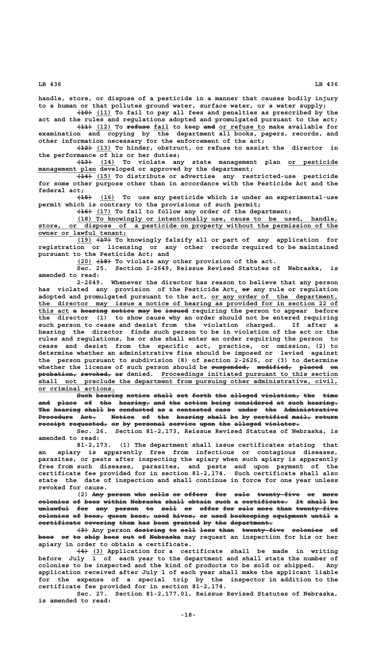**handle, store, or dispose of a pesticide in a manner that causes bodily injury to a human or that pollutes ground water, surface water, or a water supply;**

 **———— \_\_\_\_ (10) (11) To fail to pay all fees and penalties as prescribed by the act and the rules and regulations adopted and promulgated pursuant to the act;**

 $\overline{(11)}$   $\overline{(12)}$  To refuse fail to keep and or refuse to make available for **examination and copying by the department all books, papers, records, and other information necessary for the enforcement of the act;**

 **———— \_\_\_\_ (12) (13) To hinder, obstruct, or refuse to assist the director in the performance of his or her duties;**

 **———— \_\_\_\_ \_\_\_\_\_\_\_\_\_\_\_\_\_ (13) (14) To violate any state management plan or pesticide**  $\frac{management}$  plan developed or approved by the department;

 **———— \_\_\_\_ (14) (15) To distribute or advertise any restricted-use pesticide for some other purpose other than in accordance with the Pesticide Act and the federal act;**

 **———— \_\_\_\_ (15) (16) To use any pesticide which is under an experimental-use permit which is contrary to the provisions of such permit;**

 **———— \_\_\_\_ (16) (17) To fail to follow any order of the department;**

 **\_\_\_\_\_\_\_\_\_\_\_\_\_\_\_\_\_\_\_\_\_\_\_\_\_\_\_\_\_\_\_\_\_\_\_\_\_\_\_\_\_\_\_\_\_\_\_\_\_\_\_\_\_\_\_\_\_\_\_\_\_\_\_\_\_\_\_\_ (18) To knowingly or intentionally use, cause to be used, handle, \_\_\_\_\_\_\_\_\_\_\_\_\_\_\_\_\_\_\_\_\_\_\_\_\_\_\_\_\_\_\_\_\_\_\_\_\_\_\_\_\_\_\_\_\_\_\_\_\_\_\_\_\_\_\_\_\_\_\_\_\_\_\_\_\_\_\_\_\_\_\_\_\_\_\_\_\_\_ store, or dispose of a pesticide on property without the permission of the**  $\overline{\text{owner or lawful team}}$ ;

 **\_\_\_\_ ———— (19) (17) To knowingly falsify all or part of any application for registration or licensing or any other records required to be maintained pursuant to the Pesticide Act; and**

 **\_\_\_\_ ———— (20) (18) To violate any other provision of the act.**

**Sec. 25. Section 2-2649, Reissue Revised Statutes of Nebraska, is amended to read:**

**2-2649. Whenever the director has reason to believe that any person** has violated any provision of the Pesticide Act<sub>1</sub> or any rule or regulation **adopted and promulgated pursuant to the act, or any order of the department, \_\_\_\_\_\_\_\_\_\_\_\_\_\_\_\_\_\_\_\_\_\_\_\_\_\_\_\_\_\_\_\_\_ \_\_\_\_\_\_\_\_\_\_\_\_\_\_\_\_\_\_\_\_\_\_\_\_\_\_\_\_\_\_\_\_\_\_\_\_\_\_\_\_\_\_\_\_\_\_\_\_\_\_\_\_\_\_\_\_\_\_\_\_\_\_\_\_\_\_\_\_\_\_\_\_\_\_\_\_\_\_ the director may issue a notice of hearing as provided for in section 22 of** this act a hearing notice may be issued requiring the person to appear before **the director (1) to show cause why an order should not be entered requiring such person to cease and desist from the violation charged. If after a hearing the director finds such person to be in violation of the act or the rules and regulations, he or she shall enter an order requiring the person to cease and desist from the specific act, practice, or omission, (2) to determine whether an administrative fine should be imposed or levied against the person pursuant to subdivision (8) of section 2-2626, or (3) to determine** whether the license of such person should be suspended, modified, placed on  $p$ robation, revoked, or denied. Proceedings initiated pursuant to this section shall not preclude the department from pursuing other administrative, civil,  **\_\_\_\_\_\_\_\_\_\_\_\_\_\_\_\_\_\_\_\_ or criminal actions.**

 $\overline{\text{Such hearing notice shall}}$  and  $\overline{\text{shell}}$  and  $\overline{\text{ferb}}$  the  $\overline{\text{alleged violation}}$ , the time and place of the hearing, and the action being considered at such hearing. The hearing shall be conducted as a contested case under the Administrative Procedure Act. Wotice of the hearing shall be by certified mail, return  $\texttt{received} \texttt{recovery} \texttt{personal} \texttt{server} \texttt{m}$  alleged violator.

**Sec. 26. Section 81-2,173, Reissue Revised Statutes of Nebraska, is amended to read:**

**81-2,173. (1) The department shall issue certificates stating that an apiary is apparently free from infectious or contagious diseases, parasites, or pests after inspecting the apiary when such apiary is apparently free from such diseases, parasites, and pests and upon payment of the certificate fee provided for in section 81-2,174. Such certificate shall also state the date of inspection and shall continue in force for one year unless revoked for cause.**

(2) Any person who sells or offers for sale twenty-five or more **colonies of bees within Nebraska shall obtain such a certificate. It shall be**  $\text{unlawful for any person to sell or offer }= 2$ colonies of bees, queen bees, used hives, or used beekeeping equipment until a certificate covering them has been granted by the department.

**(3) Any person desiring to sell less than twenty-five colonies of** bees or to ship bees out of Nebraska may request an inspection for his or her **apiary in order to obtain a certificate.**

 **——— \_\_\_ (4) (3) Application for a certificate shall be made in writing before July 1 of each year to the department and shall state the number of colonies to be inspected and the kind of products to be sold or shipped. Any application received after July 1 of each year shall make the applicant liable for the expense of a special trip by the inspector in addition to the certificate fee provided for in section 81-2,174.**

**Sec. 27. Section 81-2,177.01, Reissue Revised Statutes of Nebraska, is amended to read:**